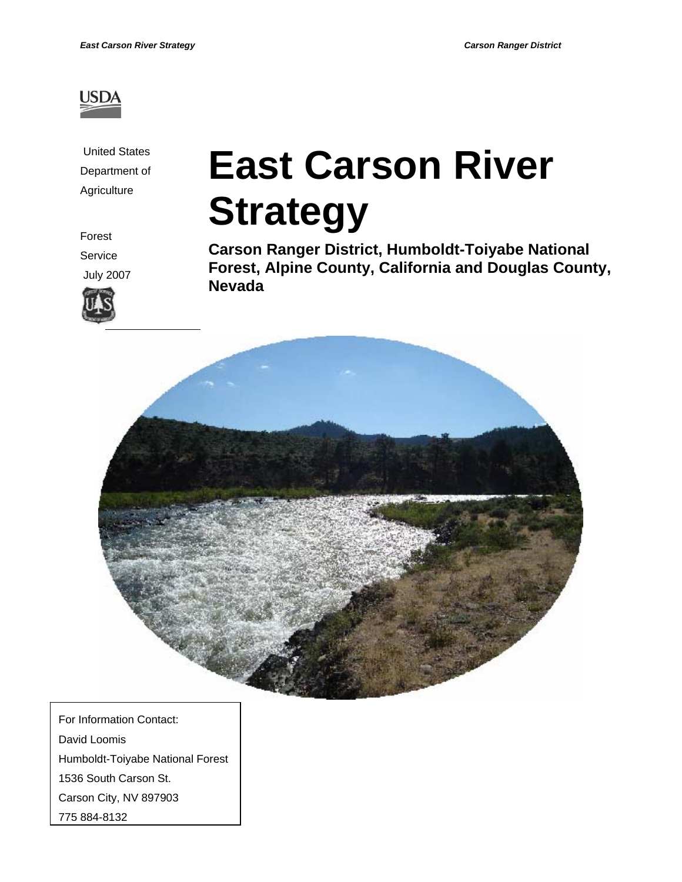

 United States Department of **Agriculture** 

# **East Carson River Strategy**

Forest

Service

July 2007



**Carson Ranger District, Humboldt-Toiyabe National Forest, Alpine County, California and Douglas County, Nevada** 



 For Information Contact: David Loomis Humboldt-Toiyabe National Forest 1536 South Carson St. Carson City, NV 897903 775 884-8132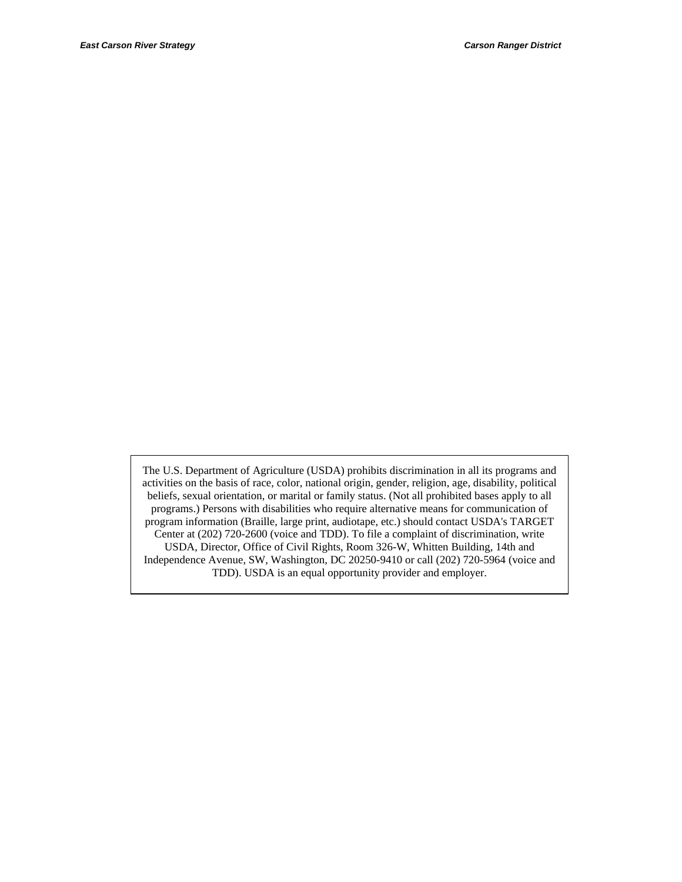The U.S. Department of Agriculture (USDA) prohibits discrimination in all its programs and activities on the basis of race, color, national origin, gender, religion, age, disability, political beliefs, sexual orientation, or marital or family status. (Not all prohibited bases apply to all programs.) Persons with disabilities who require alternative means for communication of program information (Braille, large print, audiotape, etc.) should contact USDA's TARGET Center at (202) 720-2600 (voice and TDD). To file a complaint of discrimination, write USDA, Director, Office of Civil Rights, Room 326-W, Whitten Building, 14th and Independence Avenue, SW, Washington, DC 20250-9410 or call (202) 720-5964 (voice and TDD). USDA is an equal opportunity provider and employer.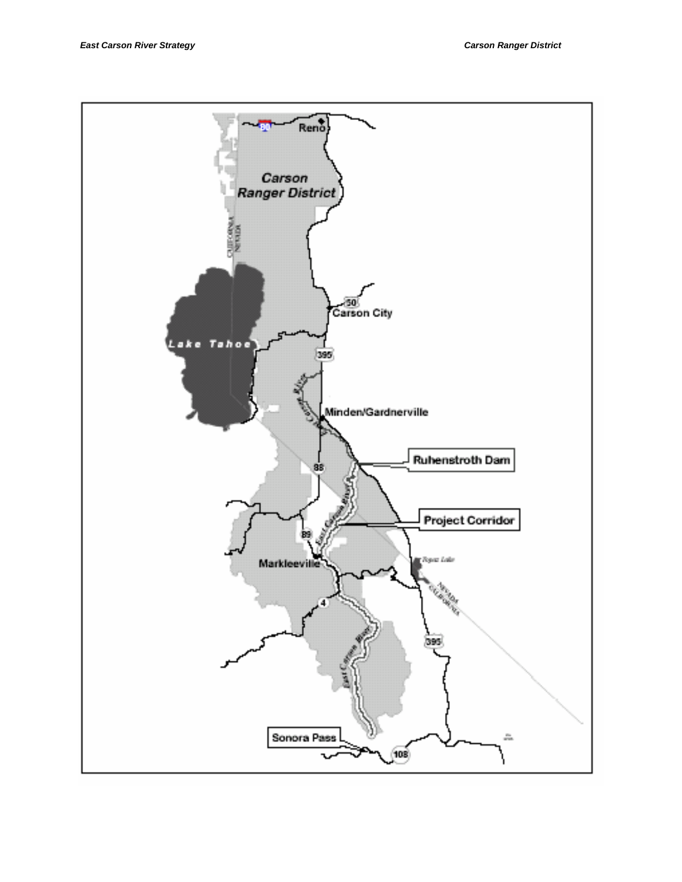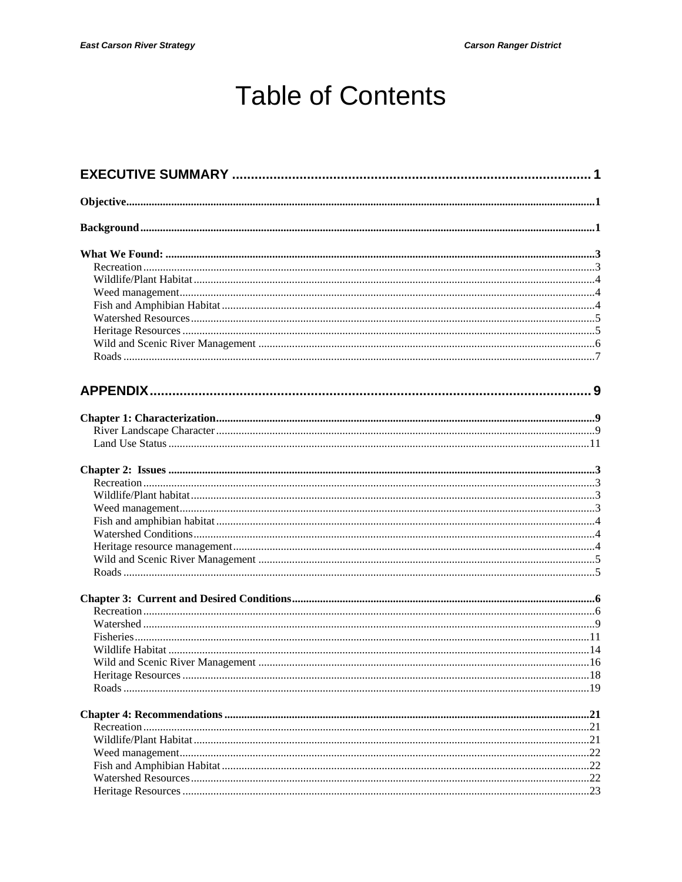# **Table of Contents**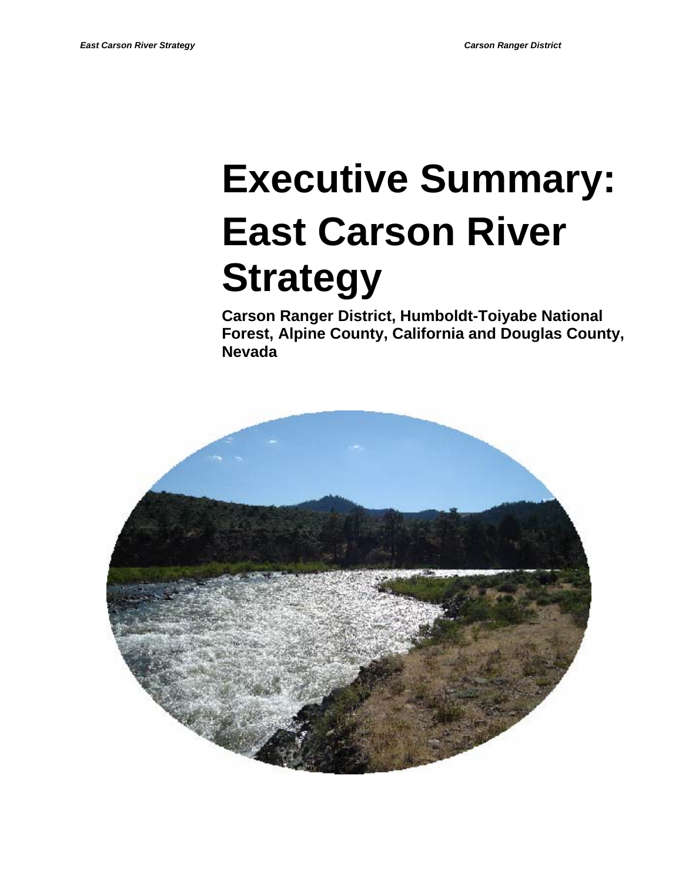# **Executive Summary: East Carson River Strategy**

**Carson Ranger District, Humboldt-Toiyabe National Forest, Alpine County, California and Douglas County, Nevada** 

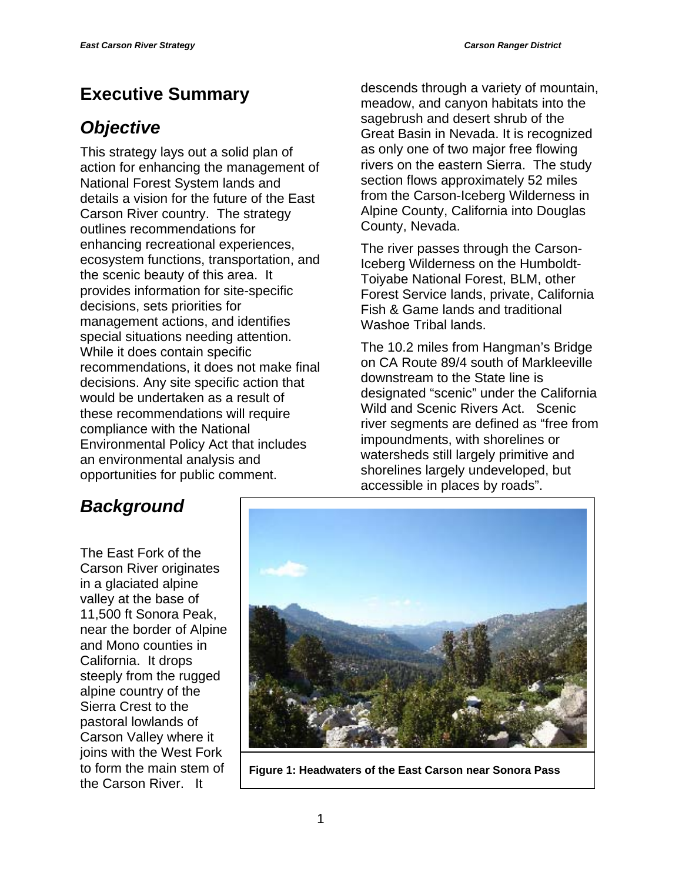## **Executive Summary**

## *Objective*

This strategy lays out a solid plan of action for enhancing the management of National Forest System lands and details a vision for the future of the East Carson River country. The strategy outlines recommendations for enhancing recreational experiences, ecosystem functions, transportation, and the scenic beauty of this area. It provides information for site-specific decisions, sets priorities for management actions, and identifies special situations needing attention. While it does contain specific recommendations, it does not make final decisions. Any site specific action that would be undertaken as a result of these recommendations will require compliance with the National Environmental Policy Act that includes an environmental analysis and opportunities for public comment.

descends through a variety of mountain, meadow, and canyon habitats into the sagebrush and desert shrub of the Great Basin in Nevada. It is recognized as only one of two major free flowing rivers on the eastern Sierra. The study section flows approximately 52 miles from the Carson-Iceberg Wilderness in Alpine County, California into Douglas County, Nevada.

The river passes through the Carson-Iceberg Wilderness on the Humboldt-Toiyabe National Forest, BLM, other Forest Service lands, private, California Fish & Game lands and traditional Washoe Tribal lands.

The 10.2 miles from Hangman's Bridge on CA Route 89/4 south of Markleeville downstream to the State line is designated "scenic" under the California Wild and Scenic Rivers Act. Scenic river segments are defined as "free from impoundments, with shorelines or watersheds still largely primitive and shorelines largely undeveloped, but accessible in places by roads".

## *Background*

The East Fork of the Carson River originates in a glaciated alpine valley at the base of 11,500 ft Sonora Peak, near the border of Alpine and Mono counties in California. It drops steeply from the rugged alpine country of the Sierra Crest to the pastoral lowlands of Carson Valley where it joins with the West Fork to form the main stem of the Carson River. It



**Figure 1: Headwaters of the East Carson near Sonora Pass**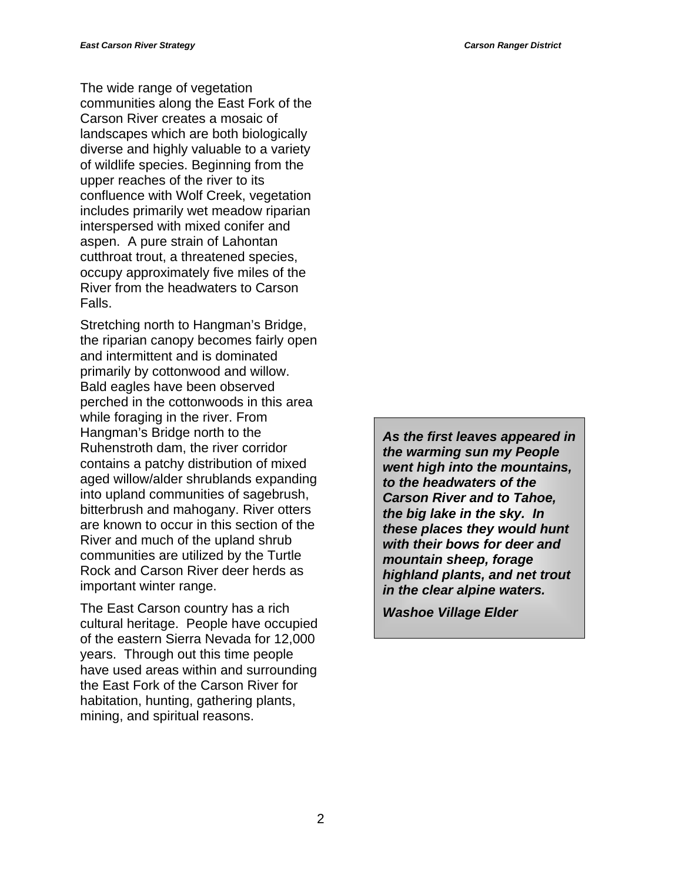The wide range of vegetation communities along the East Fork of the Carson River creates a mosaic of landscapes which are both biologically diverse and highly valuable to a variety of wildlife species. Beginning from the upper reaches of the river to its confluence with Wolf Creek, vegetation includes primarily wet meadow riparian interspersed with mixed conifer and aspen. A pure strain of Lahontan cutthroat trout, a threatened species, occupy approximately five miles of the River from the headwaters to Carson Falls.

Stretching north to Hangman's Bridge, the riparian canopy becomes fairly open and intermittent and is dominated primarily by cottonwood and willow. Bald eagles have been observed perched in the cottonwoods in this area while foraging in the river. From Hangman's Bridge north to the Ruhenstroth dam, the river corridor contains a patchy distribution of mixed aged willow/alder shrublands expanding into upland communities of sagebrush, bitterbrush and mahogany. River otters are known to occur in this section of the River and much of the upland shrub communities are utilized by the Turtle Rock and Carson River deer herds as important winter range.

The East Carson country has a rich cultural heritage. People have occupied of the eastern Sierra Nevada for 12,000 years. Through out this time people have used areas within and surrounding the East Fork of the Carson River for habitation, hunting, gathering plants, mining, and spiritual reasons.

*As the first leaves appeared in the warming sun my People went high into the mountains, to the headwaters of the Carson River and to Tahoe, the big lake in the sky. In these places they would hunt with their bows for deer and mountain sheep, forage highland plants, and net trout in the clear alpine waters.* 

*Washoe Village Elder*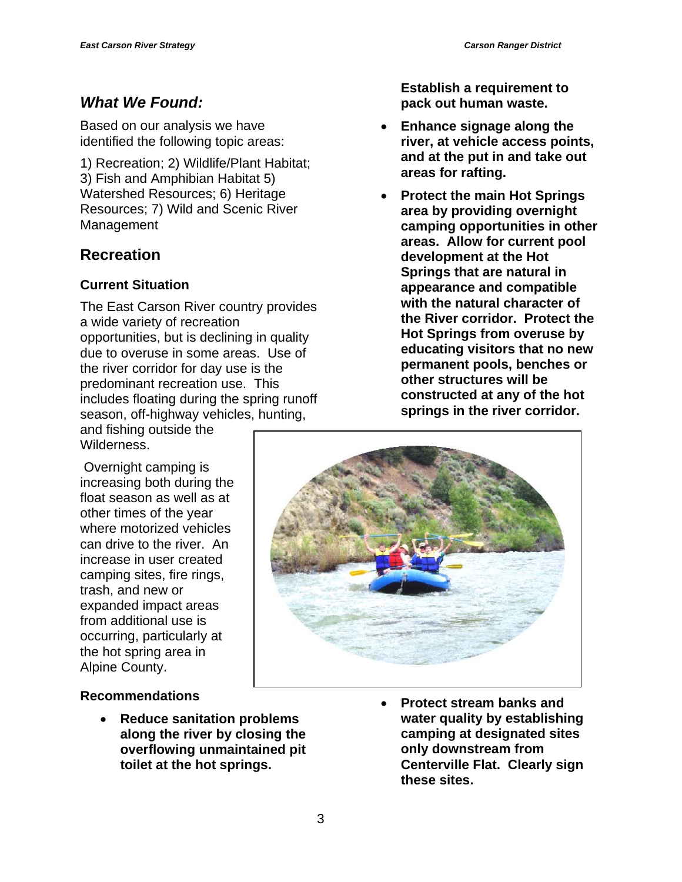## *What We Found:*

Based on our analysis we have identified the following topic areas:

1) Recreation; 2) Wildlife/Plant Habitat; 3) Fish and Amphibian Habitat 5) Watershed Resources; 6) Heritage Resources; 7) Wild and Scenic River Management

## **Recreation**

#### **Current Situation**

The East Carson River country provides a wide variety of recreation opportunities, but is declining in quality due to overuse in some areas. Use of the river corridor for day use is the predominant recreation use. This includes floating during the spring runoff season, off-highway vehicles, hunting,

and fishing outside the Wilderness.

 Overnight camping is increasing both during the float season as well as at other times of the year where motorized vehicles can drive to the river. An increase in user created camping sites, fire rings, trash, and new or expanded impact areas from additional use is occurring, particularly at the hot spring area in Alpine County.

#### **Recommendations**

• **Reduce sanitation problems along the river by closing the overflowing unmaintained pit toilet at the hot springs.** 

**Establish a requirement to pack out human waste.** 

- **Enhance signage along the river, at vehicle access points, and at the put in and take out areas for rafting.**
- **Protect the main Hot Springs area by providing overnight camping opportunities in other areas. Allow for current pool development at the Hot Springs that are natural in appearance and compatible with the natural character of the River corridor. Protect the Hot Springs from overuse by educating visitors that no new permanent pools, benches or other structures will be constructed at any of the hot springs in the river corridor.**



• **Protect stream banks and water quality by establishing camping at designated sites only downstream from Centerville Flat. Clearly sign these sites.**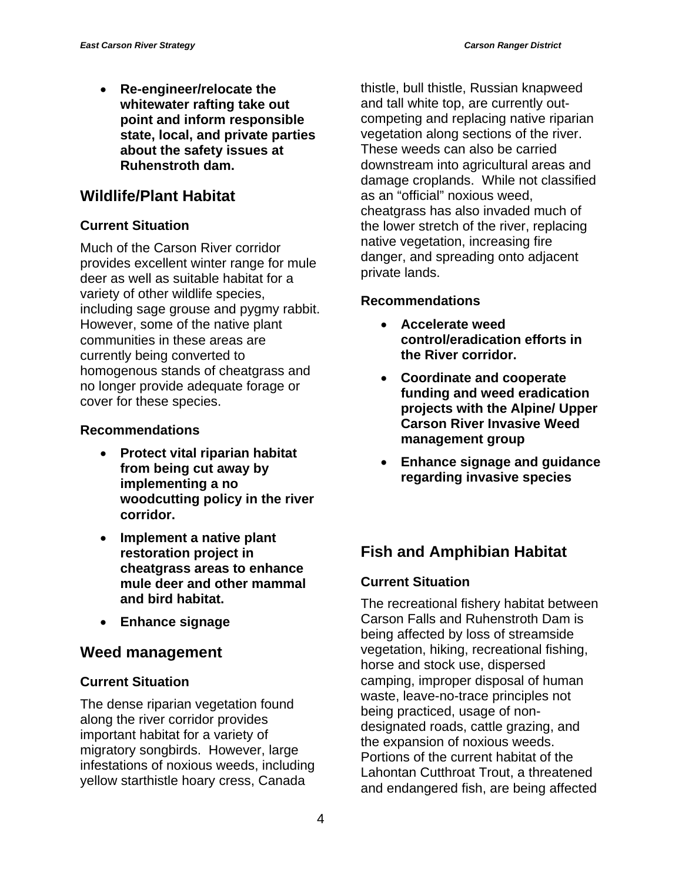• **Re-engineer/relocate the whitewater rafting take out point and inform responsible state, local, and private parties about the safety issues at Ruhenstroth dam.** 

## **Wildlife/Plant Habitat**

#### **Current Situation**

Much of the Carson River corridor provides excellent winter range for mule deer as well as suitable habitat for a variety of other wildlife species, including sage grouse and pygmy rabbit. However, some of the native plant communities in these areas are currently being converted to homogenous stands of cheatgrass and no longer provide adequate forage or cover for these species.

#### **Recommendations**

- **Protect vital riparian habitat from being cut away by implementing a no woodcutting policy in the river corridor.**
- **Implement a native plant restoration project in cheatgrass areas to enhance mule deer and other mammal and bird habitat.**
- **Enhance signage**

## **Weed management**

#### **Current Situation**

The dense riparian vegetation found along the river corridor provides important habitat for a variety of migratory songbirds. However, large infestations of noxious weeds, including yellow starthistle hoary cress, Canada

thistle, bull thistle, Russian knapweed and tall white top, are currently outcompeting and replacing native riparian vegetation along sections of the river. These weeds can also be carried downstream into agricultural areas and damage croplands. While not classified as an "official" noxious weed, cheatgrass has also invaded much of the lower stretch of the river, replacing native vegetation, increasing fire danger, and spreading onto adjacent private lands.

#### **Recommendations**

- **Accelerate weed control/eradication efforts in the River corridor.**
- **Coordinate and cooperate funding and weed eradication projects with the Alpine/ Upper Carson River Invasive Weed management group**
- **Enhance signage and guidance regarding invasive species**

## **Fish and Amphibian Habitat**

#### **Current Situation**

The recreational fishery habitat between Carson Falls and Ruhenstroth Dam is being affected by loss of streamside vegetation, hiking, recreational fishing, horse and stock use, dispersed camping, improper disposal of human waste, leave-no-trace principles not being practiced, usage of nondesignated roads, cattle grazing, and the expansion of noxious weeds. Portions of the current habitat of the Lahontan Cutthroat Trout, a threatened and endangered fish, are being affected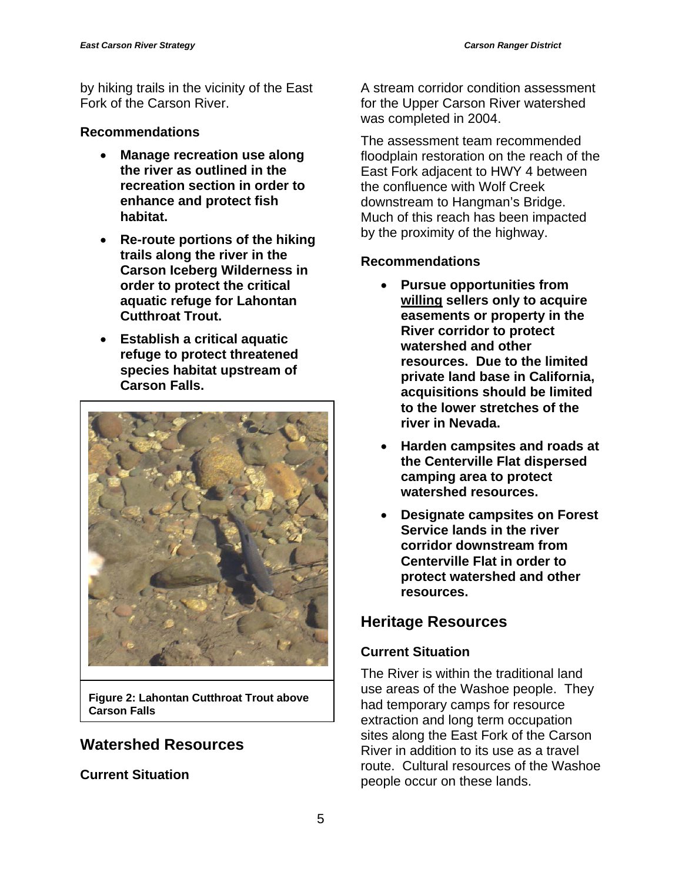by hiking trails in the vicinity of the East Fork of the Carson River.

#### **Recommendations**

- **Manage recreation use along the river as outlined in the recreation section in order to enhance and protect fish habitat.**
- **Re-route portions of the hiking trails along the river in the Carson Iceberg Wilderness in order to protect the critical aquatic refuge for Lahontan Cutthroat Trout.**
- **Establish a critical aquatic refuge to protect threatened species habitat upstream of Carson Falls.**



**Figure 2: Lahontan Cutthroat Trout above Carson Falls** 

## **Watershed Resources**

**Current Situation** 

A stream corridor condition assessment for the Upper Carson River watershed was completed in 2004.

The assessment team recommended floodplain restoration on the reach of the East Fork adjacent to HWY 4 between the confluence with Wolf Creek downstream to Hangman's Bridge. Much of this reach has been impacted by the proximity of the highway.

## **Recommendations**

- **Pursue opportunities from willing sellers only to acquire easements or property in the River corridor to protect watershed and other resources. Due to the limited private land base in California, acquisitions should be limited to the lower stretches of the river in Nevada.**
- **Harden campsites and roads at the Centerville Flat dispersed camping area to protect watershed resources.**
- **Designate campsites on Forest Service lands in the river corridor downstream from Centerville Flat in order to protect watershed and other resources.**

## **Heritage Resources**

## **Current Situation**

The River is within the traditional land use areas of the Washoe people. They had temporary camps for resource extraction and long term occupation sites along the East Fork of the Carson River in addition to its use as a travel route. Cultural resources of the Washoe people occur on these lands.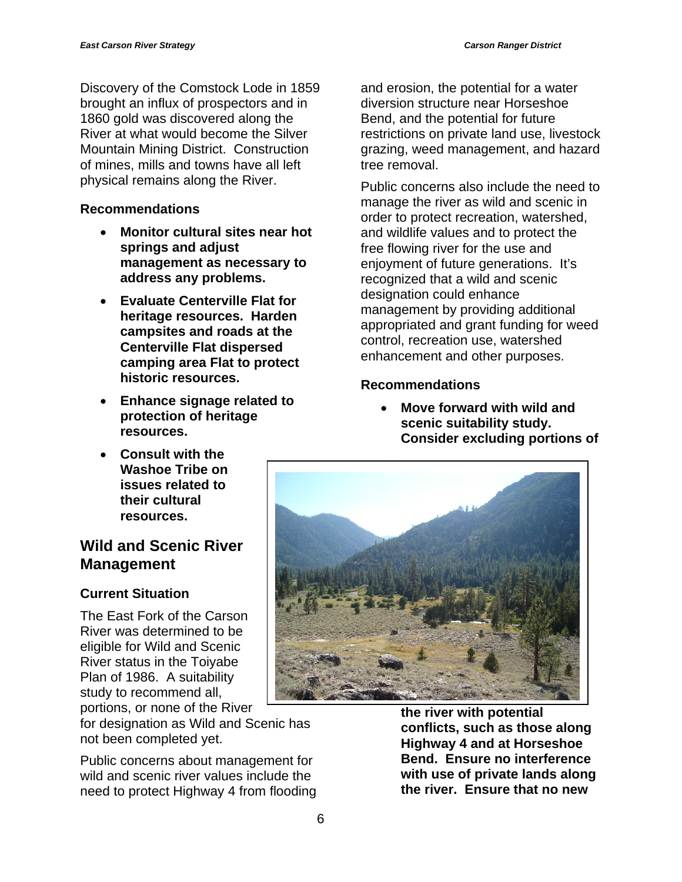Discovery of the Comstock Lode in 1859 brought an influx of prospectors and in 1860 gold was discovered along the River at what would become the Silver Mountain Mining District. Construction of mines, mills and towns have all left physical remains along the River.

#### **Recommendations**

- **Monitor cultural sites near hot springs and adjust management as necessary to address any problems.**
- **Evaluate Centerville Flat for heritage resources. Harden campsites and roads at the Centerville Flat dispersed camping area Flat to protect historic resources.**
- **Enhance signage related to protection of heritage resources.**
- **Consult with the Washoe Tribe on issues related to their cultural resources.**

## **Wild and Scenic River Management**

## **Current Situation**

The East Fork of the Carson River was determined to be eligible for Wild and Scenic River status in the Toiyabe Plan of 1986. A suitability study to recommend all, portions, or none of the River

for designation as Wild and Scenic has not been completed yet.

Public concerns about management for wild and scenic river values include the need to protect Highway 4 from flooding and erosion, the potential for a water diversion structure near Horseshoe Bend, and the potential for future restrictions on private land use, livestock grazing, weed management, and hazard tree removal.

Public concerns also include the need to manage the river as wild and scenic in order to protect recreation, watershed, and wildlife values and to protect the free flowing river for the use and enjoyment of future generations. It's recognized that a wild and scenic designation could enhance management by providing additional appropriated and grant funding for weed control, recreation use, watershed enhancement and other purposes.

#### **Recommendations**

• **Move forward with wild and scenic suitability study. Consider excluding portions of** 



**the river with potential conflicts, such as those along Highway 4 and at Horseshoe Bend. Ensure no interference with use of private lands along the river. Ensure that no new**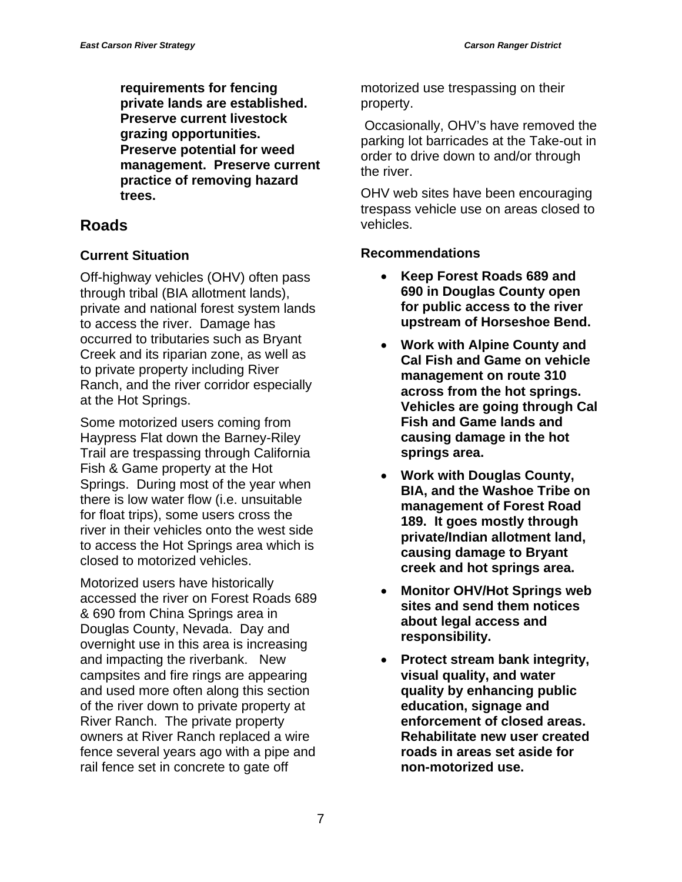**requirements for fencing private lands are established. Preserve current livestock grazing opportunities. Preserve potential for weed management. Preserve current practice of removing hazard trees.** 

## **Roads**

#### **Current Situation**

Off-highway vehicles (OHV) often pass through tribal (BIA allotment lands), private and national forest system lands to access the river. Damage has occurred to tributaries such as Bryant Creek and its riparian zone, as well as to private property including River Ranch, and the river corridor especially at the Hot Springs.

Some motorized users coming from Haypress Flat down the Barney-Riley Trail are trespassing through California Fish & Game property at the Hot Springs. During most of the year when there is low water flow (i.e. unsuitable for float trips), some users cross the river in their vehicles onto the west side to access the Hot Springs area which is closed to motorized vehicles.

Motorized users have historically accessed the river on Forest Roads 689 & 690 from China Springs area in Douglas County, Nevada. Day and overnight use in this area is increasing and impacting the riverbank. New campsites and fire rings are appearing and used more often along this section of the river down to private property at River Ranch. The private property owners at River Ranch replaced a wire fence several years ago with a pipe and rail fence set in concrete to gate off

motorized use trespassing on their property.

 Occasionally, OHV's have removed the parking lot barricades at the Take-out in order to drive down to and/or through the river.

OHV web sites have been encouraging trespass vehicle use on areas closed to vehicles.

#### **Recommendations**

- **Keep Forest Roads 689 and 690 in Douglas County open for public access to the river upstream of Horseshoe Bend.**
- **Work with Alpine County and Cal Fish and Game on vehicle management on route 310 across from the hot springs. Vehicles are going through Cal Fish and Game lands and causing damage in the hot springs area.**
- **Work with Douglas County, BIA, and the Washoe Tribe on management of Forest Road 189. It goes mostly through private/Indian allotment land, causing damage to Bryant creek and hot springs area.**
- **Monitor OHV/Hot Springs web sites and send them notices about legal access and responsibility.**
- **Protect stream bank integrity, visual quality, and water quality by enhancing public education, signage and enforcement of closed areas. Rehabilitate new user created roads in areas set aside for non-motorized use.**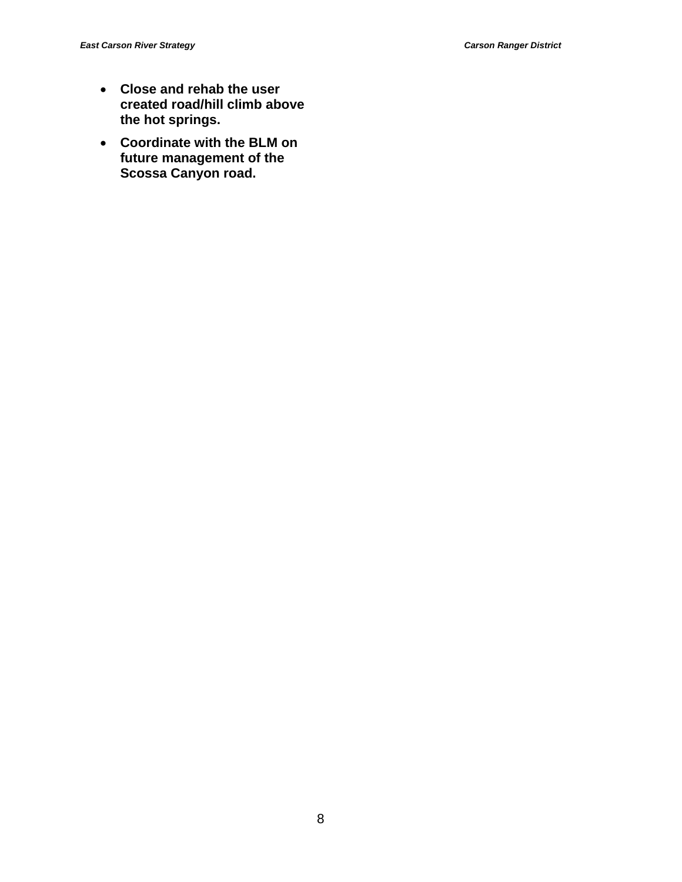- **Close and rehab the user created road/hill climb above the hot springs.**
- **Coordinate with the BLM on future management of the Scossa Canyon road.**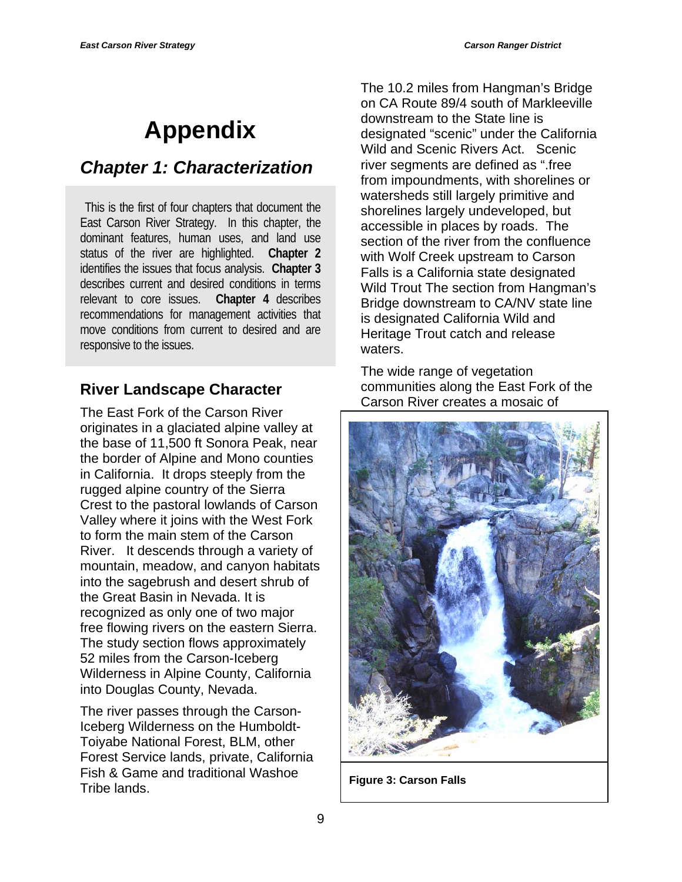# **Appendix**

## *Chapter 1: Characterization*

This is the first of four chapters that document the East Carson River Strategy. In this chapter, the dominant features, human uses, and land use status of the river are highlighted. **Chapter 2** identifies the issues that focus analysis. **Chapter 3** describes current and desired conditions in terms relevant to core issues. **Chapter 4** describes recommendations for management activities that move conditions from current to desired and are responsive to the issues.

## **River Landscape Character**

The East Fork of the Carson River originates in a glaciated alpine valley at the base of 11,500 ft Sonora Peak, near the border of Alpine and Mono counties in California. It drops steeply from the rugged alpine country of the Sierra Crest to the pastoral lowlands of Carson Valley where it joins with the West Fork to form the main stem of the Carson River. It descends through a variety of mountain, meadow, and canyon habitats into the sagebrush and desert shrub of the Great Basin in Nevada. It is recognized as only one of two major free flowing rivers on the eastern Sierra. The study section flows approximately 52 miles from the Carson-Iceberg Wilderness in Alpine County, California into Douglas County, Nevada.

The river passes through the Carson-Iceberg Wilderness on the Humboldt-Toiyabe National Forest, BLM, other Forest Service lands, private, California Fish & Game and traditional Washoe Tribe lands.

The 10.2 miles from Hangman's Bridge on CA Route 89/4 south of Markleeville downstream to the State line is designated "scenic" under the California Wild and Scenic Rivers Act. Scenic river segments are defined as ".free from impoundments, with shorelines or watersheds still largely primitive and shorelines largely undeveloped, but accessible in places by roads. The section of the river from the confluence with Wolf Creek upstream to Carson Falls is a California state designated Wild Trout The section from Hangman's Bridge downstream to CA/NV state line is designated California Wild and Heritage Trout catch and release waters.

The wide range of vegetation communities along the East Fork of the Carson River creates a mosaic of



**Figure 3: Carson Falls**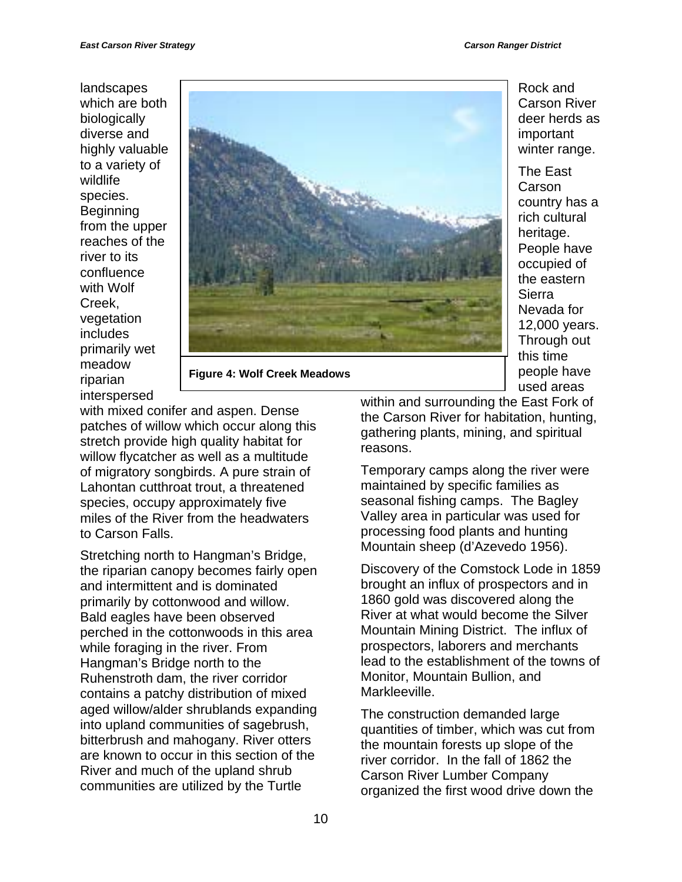landscapes which are both biologically diverse and highly valuable to a variety of wildlife species. **Beginning** from the upper reaches of the river to its confluence with Wolf Creek, vegetation includes primarily wet meadow riparian interspersed



**Figure 4: Wolf Creek Meadows** 

with mixed conifer and aspen. Dense patches of willow which occur along this stretch provide high quality habitat for willow flycatcher as well as a multitude of migratory songbirds. A pure strain of Lahontan cutthroat trout, a threatened species, occupy approximately five miles of the River from the headwaters to Carson Falls.

Stretching north to Hangman's Bridge, the riparian canopy becomes fairly open and intermittent and is dominated primarily by cottonwood and willow. Bald eagles have been observed perched in the cottonwoods in this area while foraging in the river. From Hangman's Bridge north to the Ruhenstroth dam, the river corridor contains a patchy distribution of mixed aged willow/alder shrublands expanding into upland communities of sagebrush, bitterbrush and mahogany. River otters are known to occur in this section of the River and much of the upland shrub communities are utilized by the Turtle

Rock and Carson River deer herds as important winter range.

The East Carson country has a rich cultural heritage. People have occupied of the eastern Sierra Nevada for 12,000 years. Through out this time people have used areas

within and surrounding the East Fork of the Carson River for habitation, hunting, gathering plants, mining, and spiritual reasons.

Temporary camps along the river were maintained by specific families as seasonal fishing camps. The Bagley Valley area in particular was used for processing food plants and hunting Mountain sheep (d'Azevedo 1956).

Discovery of the Comstock Lode in 1859 brought an influx of prospectors and in 1860 gold was discovered along the River at what would become the Silver Mountain Mining District. The influx of prospectors, laborers and merchants lead to the establishment of the towns of Monitor, Mountain Bullion, and Markleeville.

The construction demanded large quantities of timber, which was cut from the mountain forests up slope of the river corridor. In the fall of 1862 the Carson River Lumber Company organized the first wood drive down the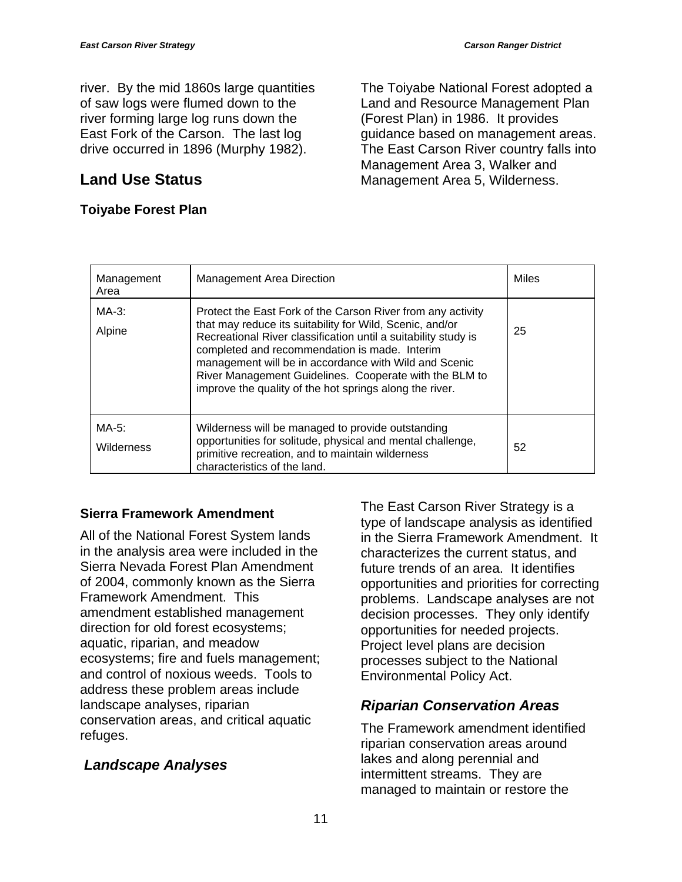river. By the mid 1860s large quantities of saw logs were flumed down to the river forming large log runs down the East Fork of the Carson. The last log drive occurred in 1896 (Murphy 1982).

## **Land Use Status**

#### **Toiyabe Forest Plan**

The Toiyabe National Forest adopted a Land and Resource Management Plan (Forest Plan) in 1986. It provides guidance based on management areas. The East Carson River country falls into Management Area 3, Walker and Management Area 5, Wilderness.

| Management<br>Area     | <b>Management Area Direction</b>                                                                                                                                                                                                                                                                                                                                                                                         | Miles |
|------------------------|--------------------------------------------------------------------------------------------------------------------------------------------------------------------------------------------------------------------------------------------------------------------------------------------------------------------------------------------------------------------------------------------------------------------------|-------|
| MA-3:<br>Alpine        | Protect the East Fork of the Carson River from any activity<br>that may reduce its suitability for Wild, Scenic, and/or<br>Recreational River classification until a suitability study is<br>completed and recommendation is made. Interim<br>management will be in accordance with Wild and Scenic<br>River Management Guidelines. Cooperate with the BLM to<br>improve the quality of the hot springs along the river. | 25    |
| $MA-5$ :<br>Wilderness | Wilderness will be managed to provide outstanding<br>opportunities for solitude, physical and mental challenge,<br>primitive recreation, and to maintain wilderness<br>characteristics of the land.                                                                                                                                                                                                                      | 52    |

#### **Sierra Framework Amendment**

All of the National Forest System lands in the analysis area were included in the Sierra Nevada Forest Plan Amendment of 2004, commonly known as the Sierra Framework Amendment. This amendment established management direction for old forest ecosystems; aquatic, riparian, and meadow ecosystems; fire and fuels management; and control of noxious weeds. Tools to address these problem areas include landscape analyses, riparian conservation areas, and critical aquatic refuges.

## *Landscape Analyses*

The East Carson River Strategy is a type of landscape analysis as identified in the Sierra Framework Amendment. It characterizes the current status, and future trends of an area. It identifies opportunities and priorities for correcting problems. Landscape analyses are not decision processes. They only identify opportunities for needed projects. Project level plans are decision processes subject to the National Environmental Policy Act.

## *Riparian Conservation Areas*

The Framework amendment identified riparian conservation areas around lakes and along perennial and intermittent streams. They are managed to maintain or restore the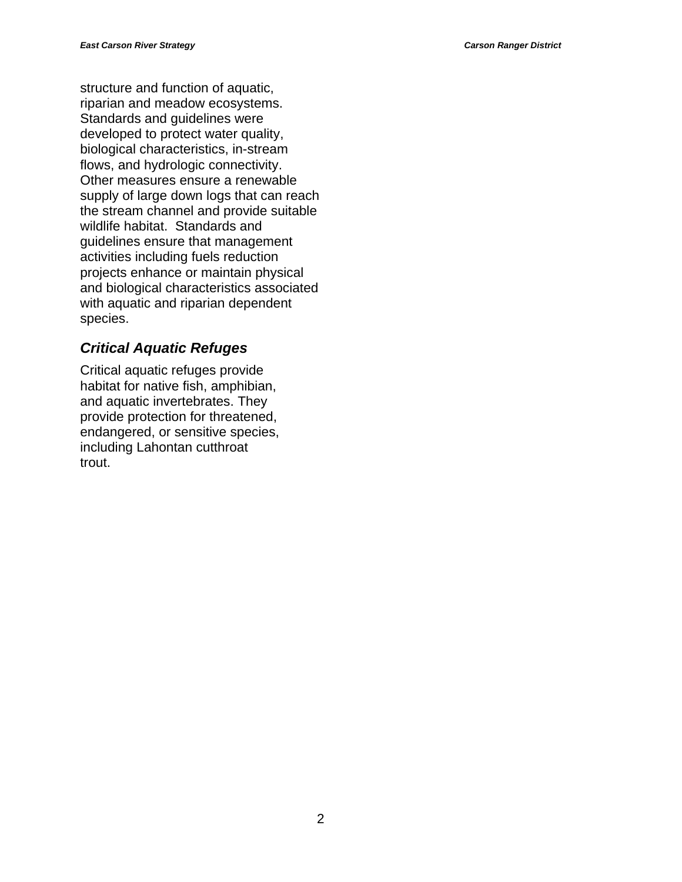structure and function of aquatic, riparian and meadow ecosystems. Standards and guidelines were developed to protect water quality, biological characteristics, in-stream flows, and hydrologic connectivity. Other measures ensure a renewable supply of large down logs that can reach the stream channel and provide suitable wildlife habitat. Standards and guidelines ensure that management activities including fuels reduction projects enhance or maintain physical and biological characteristics associated with aquatic and riparian dependent species.

#### *Critical Aquatic Refuges*

Critical aquatic refuges provide habitat for native fish, amphibian, and aquatic invertebrates. They provide protection for threatened, endangered, or sensitive species, including Lahontan cutthroat trout.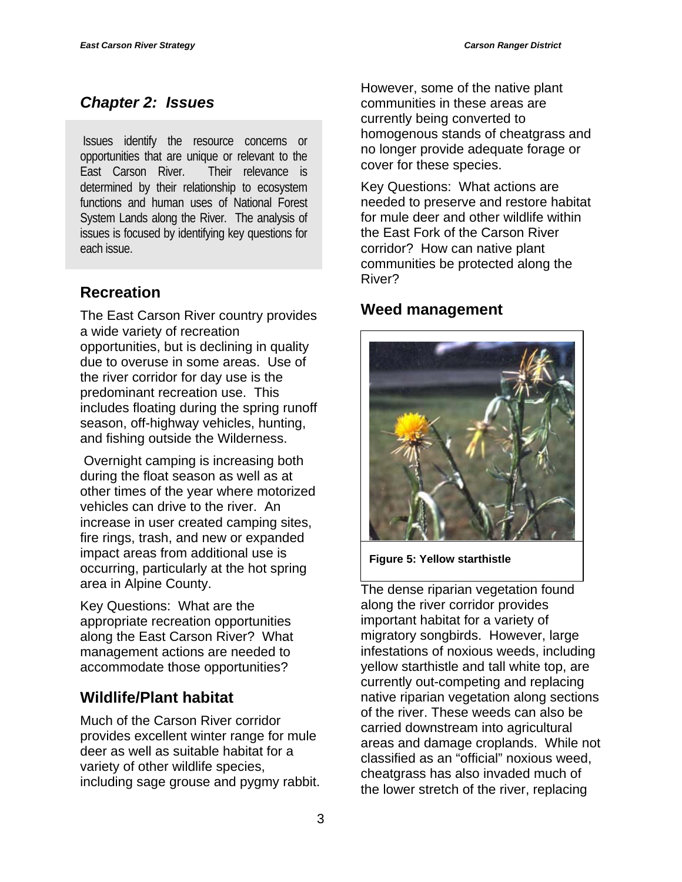## *Chapter 2: Issues*

 Issues identify the resource concerns or opportunities that are unique or relevant to the East Carson River. Their relevance is determined by their relationship to ecosystem functions and human uses of National Forest System Lands along the River. The analysis of issues is focused by identifying key questions for each issue.

## **Recreation**

The East Carson River country provides a wide variety of recreation opportunities, but is declining in quality due to overuse in some areas. Use of the river corridor for day use is the predominant recreation use. This includes floating during the spring runoff season, off-highway vehicles, hunting, and fishing outside the Wilderness.

 Overnight camping is increasing both during the float season as well as at other times of the year where motorized vehicles can drive to the river. An increase in user created camping sites, fire rings, trash, and new or expanded impact areas from additional use is occurring, particularly at the hot spring area in Alpine County.

Key Questions: What are the appropriate recreation opportunities along the East Carson River? What management actions are needed to accommodate those opportunities?

## **Wildlife/Plant habitat**

Much of the Carson River corridor provides excellent winter range for mule deer as well as suitable habitat for a variety of other wildlife species, including sage grouse and pygmy rabbit. However, some of the native plant communities in these areas are currently being converted to homogenous stands of cheatgrass and no longer provide adequate forage or cover for these species.

Key Questions: What actions are needed to preserve and restore habitat for mule deer and other wildlife within the East Fork of the Carson River corridor? How can native plant communities be protected along the River?

## **Weed management**



**Figure 5: Yellow starthistle** 

The dense riparian vegetation found along the river corridor provides important habitat for a variety of migratory songbirds. However, large infestations of noxious weeds, including yellow starthistle and tall white top, are currently out-competing and replacing native riparian vegetation along sections of the river. These weeds can also be carried downstream into agricultural areas and damage croplands. While not classified as an "official" noxious weed, cheatgrass has also invaded much of the lower stretch of the river, replacing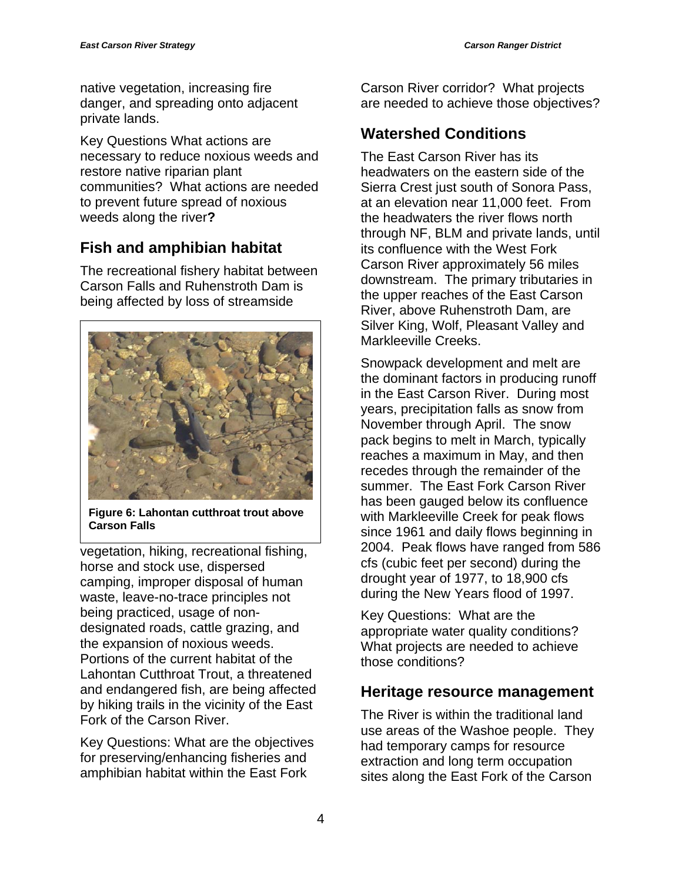native vegetation, increasing fire danger, and spreading onto adjacent private lands.

Key Questions What actions are necessary to reduce noxious weeds and restore native riparian plant communities? What actions are needed to prevent future spread of noxious weeds along the river**?**

## **Fish and amphibian habitat**

The recreational fishery habitat between Carson Falls and Ruhenstroth Dam is being affected by loss of streamside



**Figure 6: Lahontan cutthroat trout above Carson Falls** 

vegetation, hiking, recreational fishing, horse and stock use, dispersed camping, improper disposal of human waste, leave-no-trace principles not being practiced, usage of nondesignated roads, cattle grazing, and the expansion of noxious weeds. Portions of the current habitat of the Lahontan Cutthroat Trout, a threatened and endangered fish, are being affected by hiking trails in the vicinity of the East Fork of the Carson River.

Key Questions: What are the objectives for preserving/enhancing fisheries and amphibian habitat within the East Fork

Carson River corridor? What projects are needed to achieve those objectives?

## **Watershed Conditions**

The East Carson River has its headwaters on the eastern side of the Sierra Crest just south of Sonora Pass, at an elevation near 11,000 feet. From the headwaters the river flows north through NF, BLM and private lands, until its confluence with the West Fork Carson River approximately 56 miles downstream. The primary tributaries in the upper reaches of the East Carson River, above Ruhenstroth Dam, are Silver King, Wolf, Pleasant Valley and Markleeville Creeks.

Snowpack development and melt are the dominant factors in producing runoff in the East Carson River. During most years, precipitation falls as snow from November through April. The snow pack begins to melt in March, typically reaches a maximum in May, and then recedes through the remainder of the summer. The East Fork Carson River has been gauged below its confluence with Markleeville Creek for peak flows since 1961 and daily flows beginning in 2004. Peak flows have ranged from 586 cfs (cubic feet per second) during the drought year of 1977, to 18,900 cfs during the New Years flood of 1997.

Key Questions: What are the appropriate water quality conditions? What projects are needed to achieve those conditions?

## **Heritage resource management**

The River is within the traditional land use areas of the Washoe people. They had temporary camps for resource extraction and long term occupation sites along the East Fork of the Carson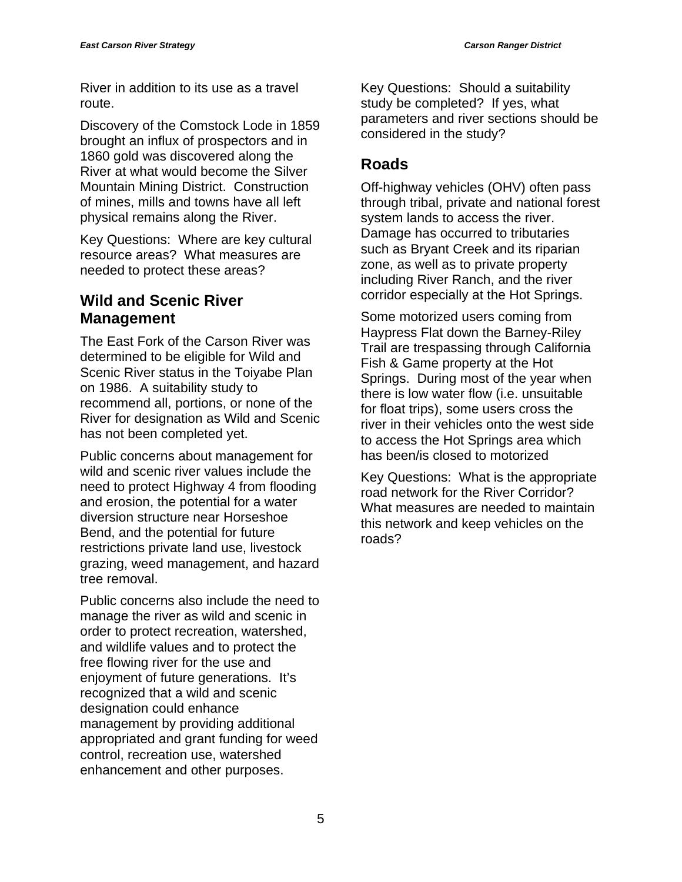River in addition to its use as a travel route.

Discovery of the Comstock Lode in 1859 brought an influx of prospectors and in 1860 gold was discovered along the River at what would become the Silver Mountain Mining District. Construction of mines, mills and towns have all left physical remains along the River.

Key Questions: Where are key cultural resource areas? What measures are needed to protect these areas?

## **Wild and Scenic River Management**

The East Fork of the Carson River was determined to be eligible for Wild and Scenic River status in the Toiyabe Plan on 1986. A suitability study to recommend all, portions, or none of the River for designation as Wild and Scenic has not been completed yet.

Public concerns about management for wild and scenic river values include the need to protect Highway 4 from flooding and erosion, the potential for a water diversion structure near Horseshoe Bend, and the potential for future restrictions private land use, livestock grazing, weed management, and hazard tree removal.

Public concerns also include the need to manage the river as wild and scenic in order to protect recreation, watershed, and wildlife values and to protect the free flowing river for the use and enjoyment of future generations. It's recognized that a wild and scenic designation could enhance management by providing additional appropriated and grant funding for weed control, recreation use, watershed enhancement and other purposes.

Key Questions: Should a suitability study be completed? If yes, what parameters and river sections should be considered in the study?

## **Roads**

Off-highway vehicles (OHV) often pass through tribal, private and national forest system lands to access the river. Damage has occurred to tributaries such as Bryant Creek and its riparian zone, as well as to private property including River Ranch, and the river corridor especially at the Hot Springs.

Some motorized users coming from Haypress Flat down the Barney-Riley Trail are trespassing through California Fish & Game property at the Hot Springs. During most of the year when there is low water flow (i.e. unsuitable for float trips), some users cross the river in their vehicles onto the west side to access the Hot Springs area which has been/is closed to motorized

Key Questions: What is the appropriate road network for the River Corridor? What measures are needed to maintain this network and keep vehicles on the roads?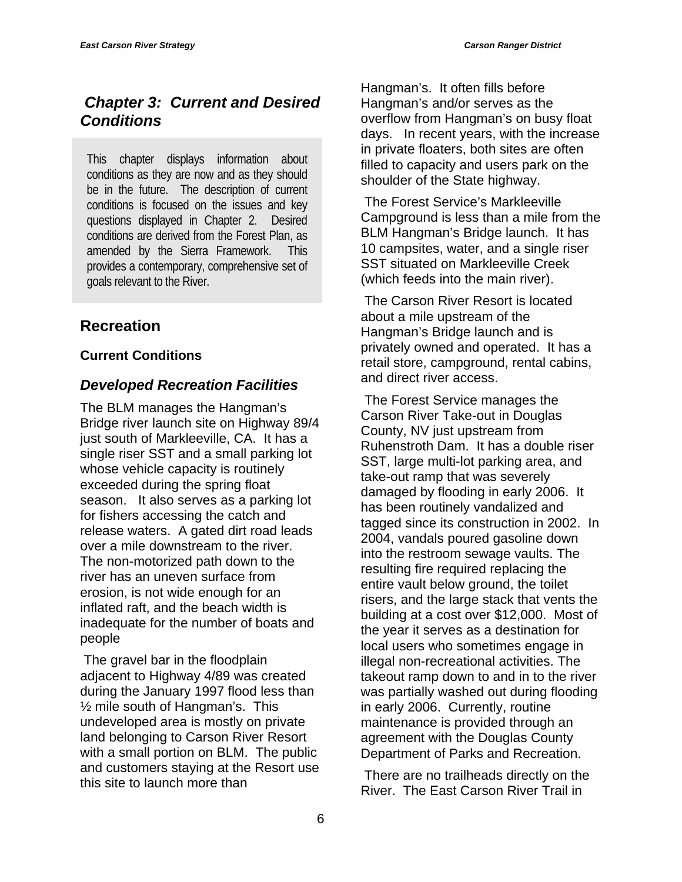## *Chapter 3: Current and Desired Conditions*

This chapter displays information about conditions as they are now and as they should be in the future. The description of current conditions is focused on the issues and key questions displayed in Chapter 2. Desired conditions are derived from the Forest Plan, as amended by the Sierra Framework. This provides a contemporary, comprehensive set of goals relevant to the River.

## **Recreation**

#### **Current Conditions**

#### *Developed Recreation Facilities*

The BLM manages the Hangman's Bridge river launch site on Highway 89/4 just south of Markleeville, CA. It has a single riser SST and a small parking lot whose vehicle capacity is routinely exceeded during the spring float season. It also serves as a parking lot for fishers accessing the catch and release waters. A gated dirt road leads over a mile downstream to the river. The non-motorized path down to the river has an uneven surface from erosion, is not wide enough for an inflated raft, and the beach width is inadequate for the number of boats and people

 The gravel bar in the floodplain adjacent to Highway 4/89 was created during the January 1997 flood less than ½ mile south of Hangman's. This undeveloped area is mostly on private land belonging to Carson River Resort with a small portion on BLM. The public and customers staying at the Resort use this site to launch more than

Hangman's. It often fills before Hangman's and/or serves as the overflow from Hangman's on busy float days. In recent years, with the increase in private floaters, both sites are often filled to capacity and users park on the shoulder of the State highway.

 The Forest Service's Markleeville Campground is less than a mile from the BLM Hangman's Bridge launch. It has 10 campsites, water, and a single riser SST situated on Markleeville Creek (which feeds into the main river).

 The Carson River Resort is located about a mile upstream of the Hangman's Bridge launch and is privately owned and operated. It has a retail store, campground, rental cabins, and direct river access.

 The Forest Service manages the Carson River Take-out in Douglas County, NV just upstream from Ruhenstroth Dam. It has a double riser SST, large multi-lot parking area, and take-out ramp that was severely damaged by flooding in early 2006. It has been routinely vandalized and tagged since its construction in 2002. In 2004, vandals poured gasoline down into the restroom sewage vaults. The resulting fire required replacing the entire vault below ground, the toilet risers, and the large stack that vents the building at a cost over \$12,000. Most of the year it serves as a destination for local users who sometimes engage in illegal non-recreational activities. The takeout ramp down to and in to the river was partially washed out during flooding in early 2006. Currently, routine maintenance is provided through an agreement with the Douglas County Department of Parks and Recreation.

 There are no trailheads directly on the River. The East Carson River Trail in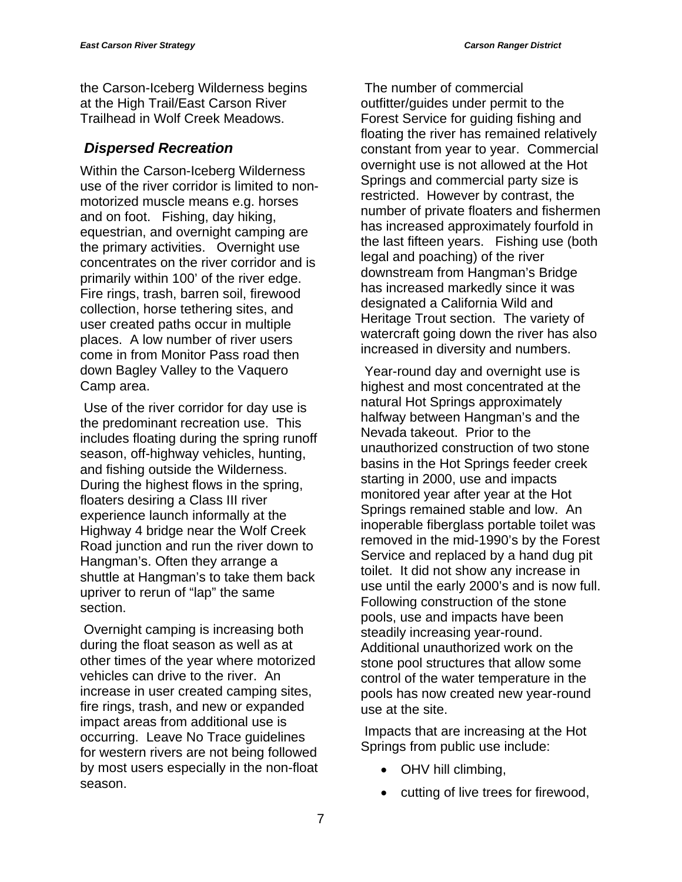the Carson-Iceberg Wilderness begins at the High Trail/East Carson River Trailhead in Wolf Creek Meadows.

## *Dispersed Recreation*

Within the Carson-Iceberg Wilderness use of the river corridor is limited to nonmotorized muscle means e.g. horses and on foot. Fishing, day hiking, equestrian, and overnight camping are the primary activities. Overnight use concentrates on the river corridor and is primarily within 100' of the river edge. Fire rings, trash, barren soil, firewood collection, horse tethering sites, and user created paths occur in multiple places. A low number of river users come in from Monitor Pass road then down Bagley Valley to the Vaquero Camp area.

 Use of the river corridor for day use is the predominant recreation use. This includes floating during the spring runoff season, off-highway vehicles, hunting, and fishing outside the Wilderness. During the highest flows in the spring, floaters desiring a Class III river experience launch informally at the Highway 4 bridge near the Wolf Creek Road junction and run the river down to Hangman's. Often they arrange a shuttle at Hangman's to take them back upriver to rerun of "lap" the same section.

 Overnight camping is increasing both during the float season as well as at other times of the year where motorized vehicles can drive to the river. An increase in user created camping sites, fire rings, trash, and new or expanded impact areas from additional use is occurring. Leave No Trace guidelines for western rivers are not being followed by most users especially in the non-float season.

 The number of commercial outfitter/guides under permit to the Forest Service for guiding fishing and floating the river has remained relatively constant from year to year. Commercial overnight use is not allowed at the Hot Springs and commercial party size is restricted. However by contrast, the number of private floaters and fishermen has increased approximately fourfold in the last fifteen years. Fishing use (both legal and poaching) of the river downstream from Hangman's Bridge has increased markedly since it was designated a California Wild and Heritage Trout section. The variety of watercraft going down the river has also increased in diversity and numbers.

 Year-round day and overnight use is highest and most concentrated at the natural Hot Springs approximately halfway between Hangman's and the Nevada takeout. Prior to the unauthorized construction of two stone basins in the Hot Springs feeder creek starting in 2000, use and impacts monitored year after year at the Hot Springs remained stable and low. An inoperable fiberglass portable toilet was removed in the mid-1990's by the Forest Service and replaced by a hand dug pit toilet. It did not show any increase in use until the early 2000's and is now full. Following construction of the stone pools, use and impacts have been steadily increasing year-round. Additional unauthorized work on the stone pool structures that allow some control of the water temperature in the pools has now created new year-round use at the site.

 Impacts that are increasing at the Hot Springs from public use include:

- OHV hill climbing,
- cutting of live trees for firewood,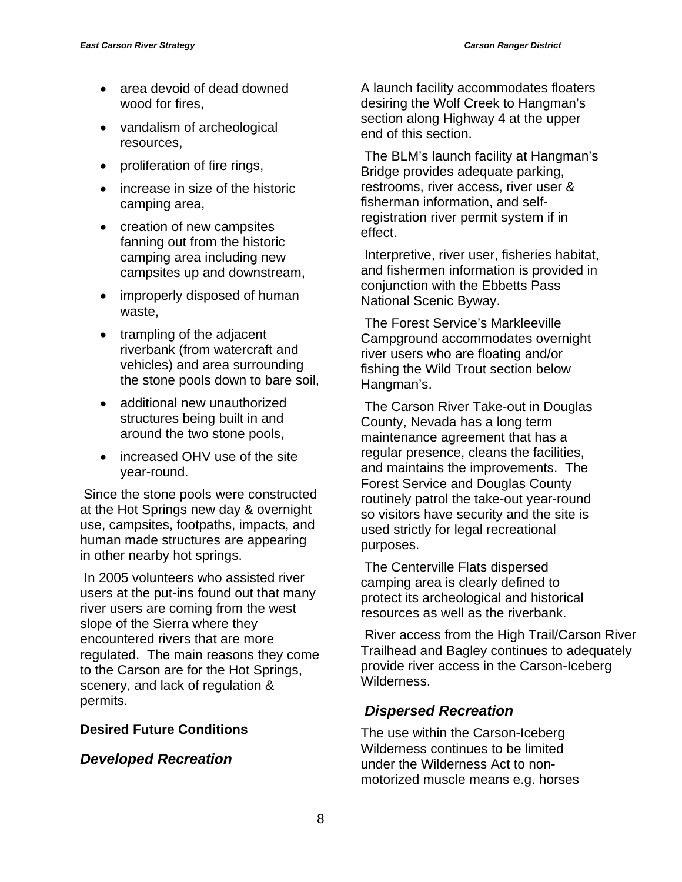- area devoid of dead downed wood for fires,
- vandalism of archeological resources,
- proliferation of fire rings,
- increase in size of the historic camping area,
- creation of new campsites fanning out from the historic camping area including new campsites up and downstream,
- improperly disposed of human waste,
- trampling of the adjacent riverbank (from watercraft and vehicles) and area surrounding the stone pools down to bare soil,
- additional new unauthorized structures being built in and around the two stone pools,
- increased OHV use of the site year-round.

 Since the stone pools were constructed at the Hot Springs new day & overnight use, campsites, footpaths, impacts, and human made structures are appearing in other nearby hot springs.

 In 2005 volunteers who assisted river users at the put-ins found out that many river users are coming from the west slope of the Sierra where they encountered rivers that are more regulated. The main reasons they come to the Carson are for the Hot Springs, scenery, and lack of regulation & permits.

#### **Desired Future Conditions**

#### *Developed Recreation*

A launch facility accommodates floaters desiring the Wolf Creek to Hangman's section along Highway 4 at the upper end of this section.

 The BLM's launch facility at Hangman's Bridge provides adequate parking, restrooms, river access, river user & fisherman information, and selfregistration river permit system if in effect.

 Interpretive, river user, fisheries habitat, and fishermen information is provided in conjunction with the Ebbetts Pass National Scenic Byway.

 The Forest Service's Markleeville Campground accommodates overnight river users who are floating and/or fishing the Wild Trout section below Hangman's.

 The Carson River Take-out in Douglas County, Nevada has a long term maintenance agreement that has a regular presence, cleans the facilities, and maintains the improvements. The Forest Service and Douglas County routinely patrol the take-out year-round so visitors have security and the site is used strictly for legal recreational purposes.

 The Centerville Flats dispersed camping area is clearly defined to protect its archeological and historical resources as well as the riverbank.

 River access from the High Trail/Carson River Trailhead and Bagley continues to adequately provide river access in the Carson-Iceberg Wilderness.

## *Dispersed Recreation*

The use within the Carson-Iceberg Wilderness continues to be limited under the Wilderness Act to nonmotorized muscle means e.g. horses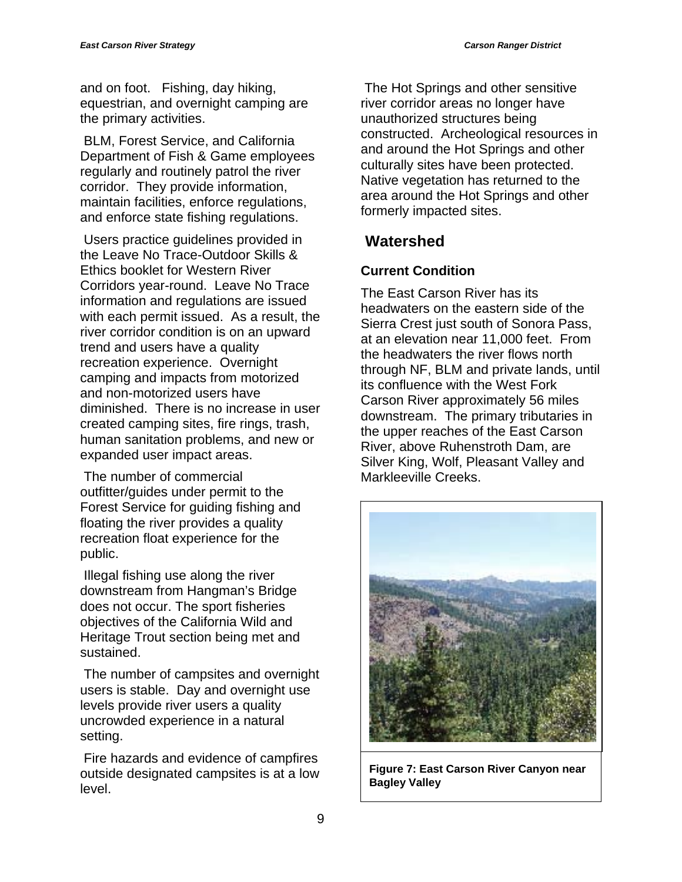and on foot. Fishing, day hiking, equestrian, and overnight camping are the primary activities.

 BLM, Forest Service, and California Department of Fish & Game employees regularly and routinely patrol the river corridor. They provide information, maintain facilities, enforce regulations, and enforce state fishing regulations.

 Users practice guidelines provided in the Leave No Trace-Outdoor Skills & Ethics booklet for Western River Corridors year-round. Leave No Trace information and regulations are issued with each permit issued. As a result, the river corridor condition is on an upward trend and users have a quality recreation experience. Overnight camping and impacts from motorized and non-motorized users have diminished. There is no increase in user created camping sites, fire rings, trash, human sanitation problems, and new or expanded user impact areas.

 The number of commercial outfitter/guides under permit to the Forest Service for guiding fishing and floating the river provides a quality recreation float experience for the public.

 Illegal fishing use along the river downstream from Hangman's Bridge does not occur. The sport fisheries objectives of the California Wild and Heritage Trout section being met and sustained.

 The number of campsites and overnight users is stable. Day and overnight use levels provide river users a quality uncrowded experience in a natural setting.

 Fire hazards and evidence of campfires outside designated campsites is at a low level.

 The Hot Springs and other sensitive river corridor areas no longer have unauthorized structures being constructed. Archeological resources in and around the Hot Springs and other culturally sites have been protected. Native vegetation has returned to the area around the Hot Springs and other formerly impacted sites.

## **Watershed**

## **Current Condition**

The East Carson River has its headwaters on the eastern side of the Sierra Crest just south of Sonora Pass, at an elevation near 11,000 feet. From the headwaters the river flows north through NF, BLM and private lands, until its confluence with the West Fork Carson River approximately 56 miles downstream. The primary tributaries in the upper reaches of the East Carson River, above Ruhenstroth Dam, are Silver King, Wolf, Pleasant Valley and Markleeville Creeks.



**Figure 7: East Carson River Canyon near Bagley Valley**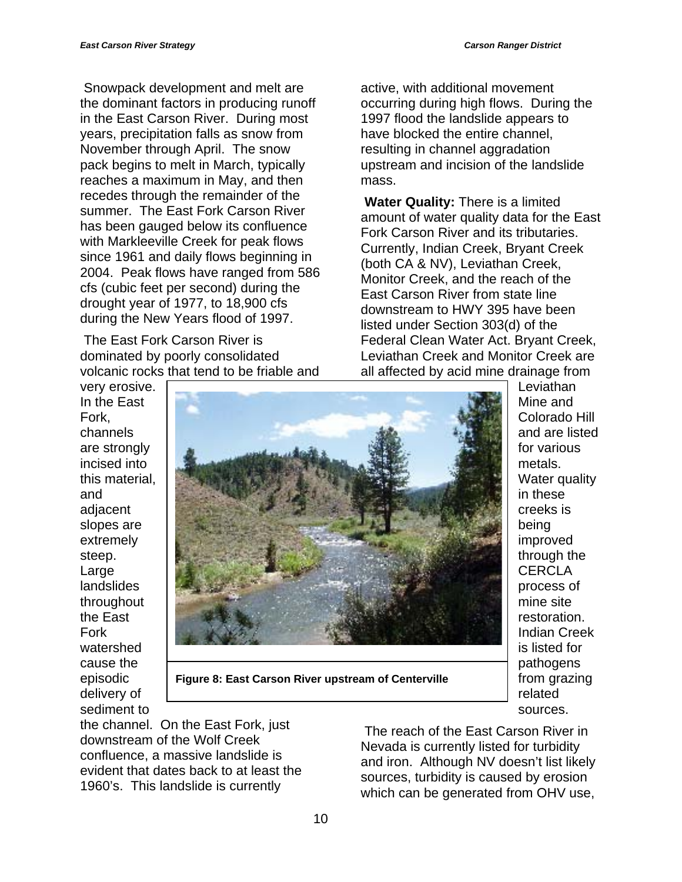Snowpack development and melt are the dominant factors in producing runoff in the East Carson River. During most years, precipitation falls as snow from November through April. The snow pack begins to melt in March, typically reaches a maximum in May, and then recedes through the remainder of the summer. The East Fork Carson River has been gauged below its confluence with Markleeville Creek for peak flows since 1961 and daily flows beginning in 2004. Peak flows have ranged from 586 cfs (cubic feet per second) during the drought year of 1977, to 18,900 cfs during the New Years flood of 1997.

 The East Fork Carson River is dominated by poorly consolidated volcanic rocks that tend to be friable and active, with additional movement occurring during high flows. During the 1997 flood the landslide appears to have blocked the entire channel, resulting in channel aggradation upstream and incision of the landslide mass.

**Water Quality:** There is a limited amount of water quality data for the East Fork Carson River and its tributaries. Currently, Indian Creek, Bryant Creek (both CA & NV), Leviathan Creek, Monitor Creek, and the reach of the East Carson River from state line downstream to HWY 395 have been listed under Section 303(d) of the Federal Clean Water Act. Bryant Creek, Leviathan Creek and Monitor Creek are all affected by acid mine drainage from

very erosive. In the East Fork, channels are strongly incised into this material, and adjacent slopes are extremely steep. Large landslides throughout the East Fork watershed cause the episodic delivery of sediment to



**Figure 8: East Carson River upstream of Centerville** 

**Leviathan** Mine and Colorado Hill and are listed for various metals. Water quality in these creeks is being improved through the **CERCLA** process of mine site restoration. Indian Creek is listed for pathogens from grazing related sources.

the channel. On the East Fork, just downstream of the Wolf Creek confluence, a massive landslide is evident that dates back to at least the 1960's. This landslide is currently

The reach of the East Carson River in Nevada is currently listed for turbidity and iron. Although NV doesn't list likely sources, turbidity is caused by erosion which can be generated from OHV use,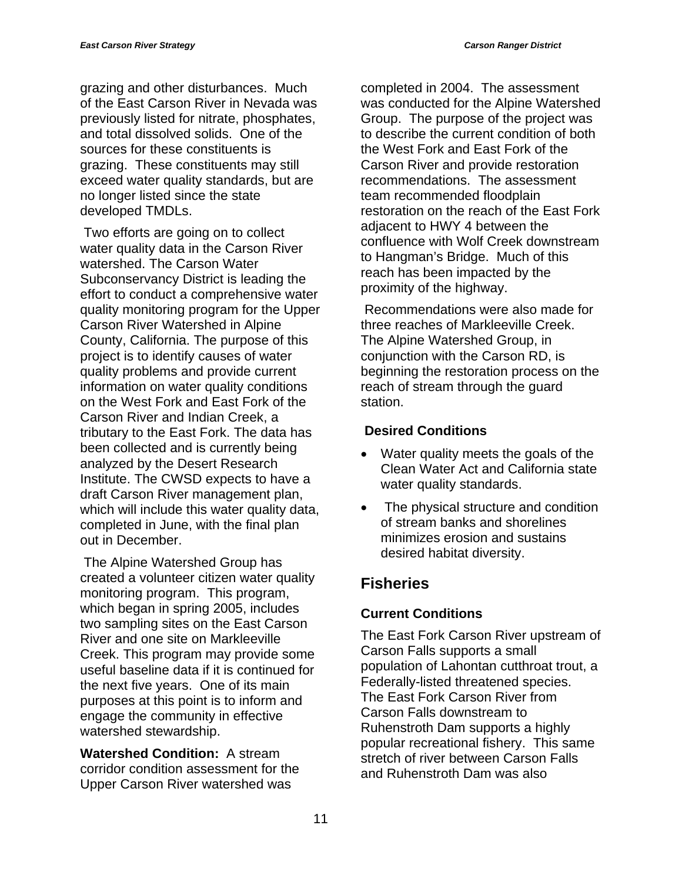grazing and other disturbances. Much of the East Carson River in Nevada was previously listed for nitrate, phosphates, and total dissolved solids. One of the sources for these constituents is grazing. These constituents may still exceed water quality standards, but are no longer listed since the state developed TMDLs.

 Two efforts are going on to collect water quality data in the Carson River watershed. The Carson Water Subconservancy District is leading the effort to conduct a comprehensive water quality monitoring program for the Upper Carson River Watershed in Alpine County, California. The purpose of this project is to identify causes of water quality problems and provide current information on water quality conditions on the West Fork and East Fork of the Carson River and Indian Creek, a tributary to the East Fork. The data has been collected and is currently being analyzed by the Desert Research Institute. The CWSD expects to have a draft Carson River management plan, which will include this water quality data, completed in June, with the final plan out in December.

 The Alpine Watershed Group has created a volunteer citizen water quality monitoring program. This program, which began in spring 2005, includes two sampling sites on the East Carson River and one site on Markleeville Creek. This program may provide some useful baseline data if it is continued for the next five years. One of its main purposes at this point is to inform and engage the community in effective watershed stewardship.

**Watershed Condition:** A stream corridor condition assessment for the Upper Carson River watershed was

completed in 2004. The assessment was conducted for the Alpine Watershed Group. The purpose of the project was to describe the current condition of both the West Fork and East Fork of the Carson River and provide restoration recommendations. The assessment team recommended floodplain restoration on the reach of the East Fork adjacent to HWY 4 between the confluence with Wolf Creek downstream to Hangman's Bridge. Much of this reach has been impacted by the proximity of the highway.

 Recommendations were also made for three reaches of Markleeville Creek. The Alpine Watershed Group, in conjunction with the Carson RD, is beginning the restoration process on the reach of stream through the guard station.

## **Desired Conditions**

- Water quality meets the goals of the Clean Water Act and California state water quality standards.
- The physical structure and condition of stream banks and shorelines minimizes erosion and sustains desired habitat diversity.

## **Fisheries**

## **Current Conditions**

The East Fork Carson River upstream of Carson Falls supports a small population of Lahontan cutthroat trout, a Federally-listed threatened species. The East Fork Carson River from Carson Falls downstream to Ruhenstroth Dam supports a highly popular recreational fishery. This same stretch of river between Carson Falls and Ruhenstroth Dam was also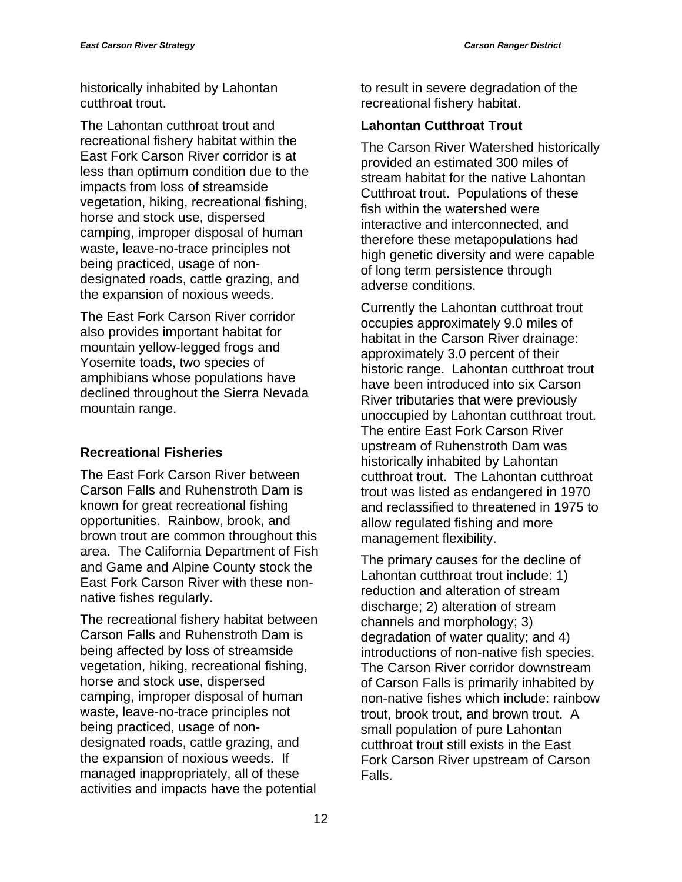historically inhabited by Lahontan cutthroat trout.

The Lahontan cutthroat trout and recreational fishery habitat within the East Fork Carson River corridor is at less than optimum condition due to the impacts from loss of streamside vegetation, hiking, recreational fishing, horse and stock use, dispersed camping, improper disposal of human waste, leave-no-trace principles not being practiced, usage of nondesignated roads, cattle grazing, and the expansion of noxious weeds.

The East Fork Carson River corridor also provides important habitat for mountain yellow-legged frogs and Yosemite toads, two species of amphibians whose populations have declined throughout the Sierra Nevada mountain range.

## **Recreational Fisheries**

The East Fork Carson River between Carson Falls and Ruhenstroth Dam is known for great recreational fishing opportunities. Rainbow, brook, and brown trout are common throughout this area. The California Department of Fish and Game and Alpine County stock the East Fork Carson River with these nonnative fishes regularly.

The recreational fishery habitat between Carson Falls and Ruhenstroth Dam is being affected by loss of streamside vegetation, hiking, recreational fishing, horse and stock use, dispersed camping, improper disposal of human waste, leave-no-trace principles not being practiced, usage of nondesignated roads, cattle grazing, and the expansion of noxious weeds. If managed inappropriately, all of these activities and impacts have the potential

to result in severe degradation of the recreational fishery habitat.

## **Lahontan Cutthroat Trout**

The Carson River Watershed historically provided an estimated 300 miles of stream habitat for the native Lahontan Cutthroat trout. Populations of these fish within the watershed were interactive and interconnected, and therefore these metapopulations had high genetic diversity and were capable of long term persistence through adverse conditions.

Currently the Lahontan cutthroat trout occupies approximately 9.0 miles of habitat in the Carson River drainage: approximately 3.0 percent of their historic range. Lahontan cutthroat trout have been introduced into six Carson River tributaries that were previously unoccupied by Lahontan cutthroat trout. The entire East Fork Carson River upstream of Ruhenstroth Dam was historically inhabited by Lahontan cutthroat trout. The Lahontan cutthroat trout was listed as endangered in 1970 and reclassified to threatened in 1975 to allow regulated fishing and more management flexibility.

The primary causes for the decline of Lahontan cutthroat trout include: 1) reduction and alteration of stream discharge; 2) alteration of stream channels and morphology; 3) degradation of water quality; and 4) introductions of non-native fish species. The Carson River corridor downstream of Carson Falls is primarily inhabited by non-native fishes which include: rainbow trout, brook trout, and brown trout. A small population of pure Lahontan cutthroat trout still exists in the East Fork Carson River upstream of Carson Falls.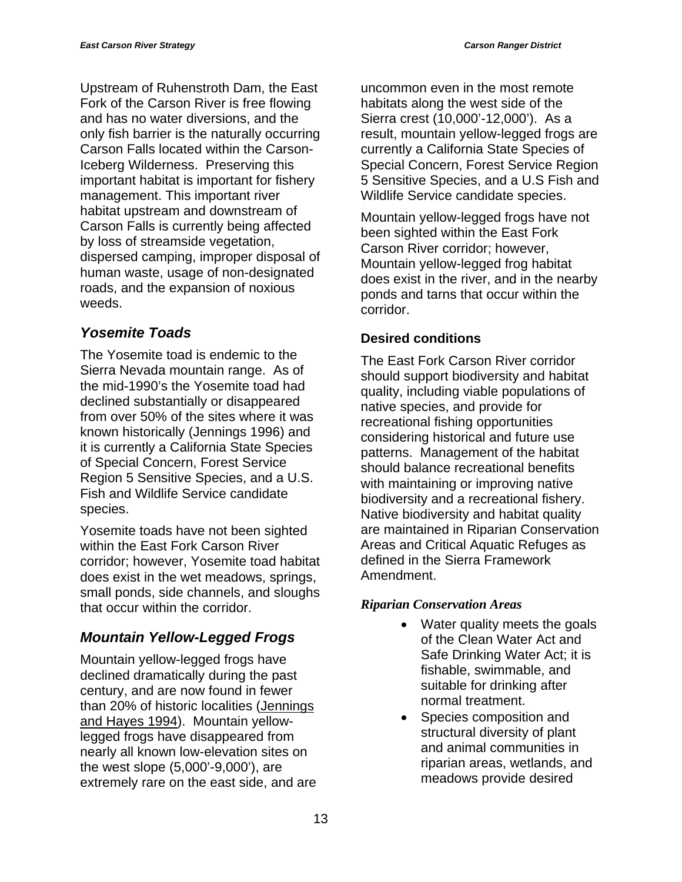Upstream of Ruhenstroth Dam, the East Fork of the Carson River is free flowing and has no water diversions, and the only fish barrier is the naturally occurring Carson Falls located within the Carson-Iceberg Wilderness. Preserving this important habitat is important for fishery management. This important river habitat upstream and downstream of Carson Falls is currently being affected by loss of streamside vegetation, dispersed camping, improper disposal of human waste, usage of non-designated roads, and the expansion of noxious weeds.

## *Yosemite Toads*

The Yosemite toad is endemic to the Sierra Nevada mountain range. As of the mid-1990's the Yosemite toad had declined substantially or disappeared from over 50% of the sites where it was known historically (Jennings 1996) and it is currently a California State Species of Special Concern, Forest Service Region 5 Sensitive Species, and a U.S. Fish and Wildlife Service candidate species.

Yosemite toads have not been sighted within the East Fork Carson River corridor; however, Yosemite toad habitat does exist in the wet meadows, springs, small ponds, side channels, and sloughs that occur within the corridor.

## *Mountain Yellow-Legged Frogs*

Mountain yellow-legged frogs have declined dramatically during the past century, and are now found in fewer than 20% of historic localities (Jennings and Hayes 1994). Mountain yellowlegged frogs have disappeared from nearly all known low-elevation sites on the west slope (5,000'-9,000'), are extremely rare on the east side, and are uncommon even in the most remote habitats along the west side of the Sierra crest (10,000'-12,000'). As a result, mountain yellow-legged frogs are currently a California State Species of Special Concern, Forest Service Region 5 Sensitive Species, and a U.S Fish and Wildlife Service candidate species.

Mountain yellow-legged frogs have not been sighted within the East Fork Carson River corridor; however, Mountain yellow-legged frog habitat does exist in the river, and in the nearby ponds and tarns that occur within the corridor.

#### **Desired conditions**

The East Fork Carson River corridor should support biodiversity and habitat quality, including viable populations of native species, and provide for recreational fishing opportunities considering historical and future use patterns. Management of the habitat should balance recreational benefits with maintaining or improving native biodiversity and a recreational fishery. Native biodiversity and habitat quality are maintained in Riparian Conservation Areas and Critical Aquatic Refuges as defined in the Sierra Framework Amendment.

#### *Riparian Conservation Areas*

- Water quality meets the goals of the Clean Water Act and Safe Drinking Water Act; it is fishable, swimmable, and suitable for drinking after normal treatment.
- Species composition and structural diversity of plant and animal communities in riparian areas, wetlands, and meadows provide desired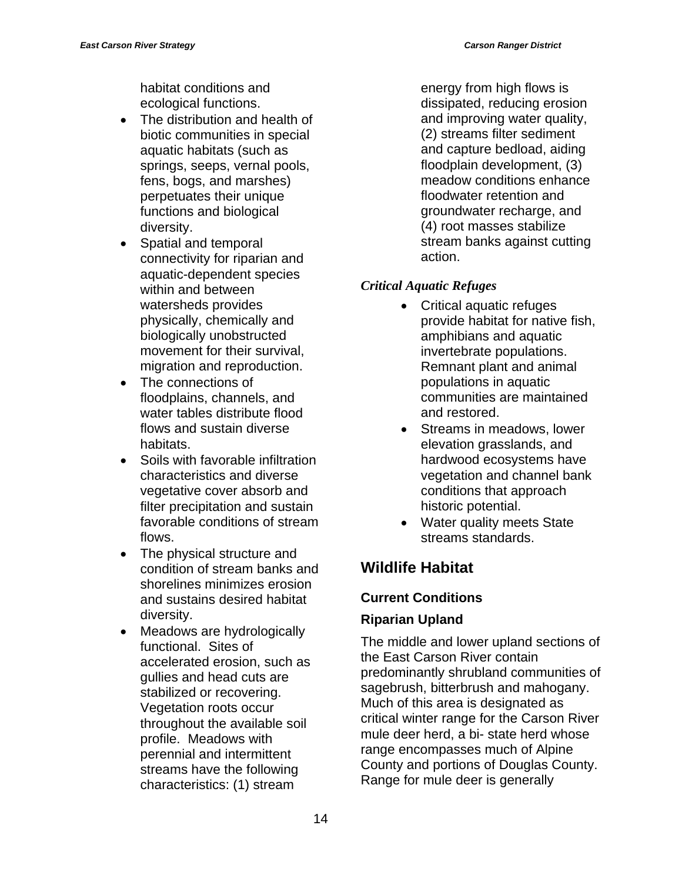habitat conditions and ecological functions.

- The distribution and health of biotic communities in special aquatic habitats (such as springs, seeps, vernal pools, fens, bogs, and marshes) perpetuates their unique functions and biological diversity.
- Spatial and temporal connectivity for riparian and aquatic-dependent species within and between watersheds provides physically, chemically and biologically unobstructed movement for their survival, migration and reproduction.
- The connections of floodplains, channels, and water tables distribute flood flows and sustain diverse habitats.
- Soils with favorable infiltration characteristics and diverse vegetative cover absorb and filter precipitation and sustain favorable conditions of stream flows.
- The physical structure and condition of stream banks and shorelines minimizes erosion and sustains desired habitat diversity.
- Meadows are hydrologically functional. Sites of accelerated erosion, such as gullies and head cuts are stabilized or recovering. Vegetation roots occur throughout the available soil profile. Meadows with perennial and intermittent streams have the following characteristics: (1) stream

energy from high flows is dissipated, reducing erosion and improving water quality, (2) streams filter sediment and capture bedload, aiding floodplain development, (3) meadow conditions enhance floodwater retention and groundwater recharge, and (4) root masses stabilize stream banks against cutting action.

## *Critical Aquatic Refuges*

- Critical aquatic refuges provide habitat for native fish, amphibians and aquatic invertebrate populations. Remnant plant and animal populations in aquatic communities are maintained and restored.
- Streams in meadows, lower elevation grasslands, and hardwood ecosystems have vegetation and channel bank conditions that approach historic potential.
- Water quality meets State streams standards.

## **Wildlife Habitat**

## **Current Conditions**

## **Riparian Upland**

The middle and lower upland sections of the East Carson River contain predominantly shrubland communities of sagebrush, bitterbrush and mahogany. Much of this area is designated as critical winter range for the Carson River mule deer herd, a bi- state herd whose range encompasses much of Alpine County and portions of Douglas County. Range for mule deer is generally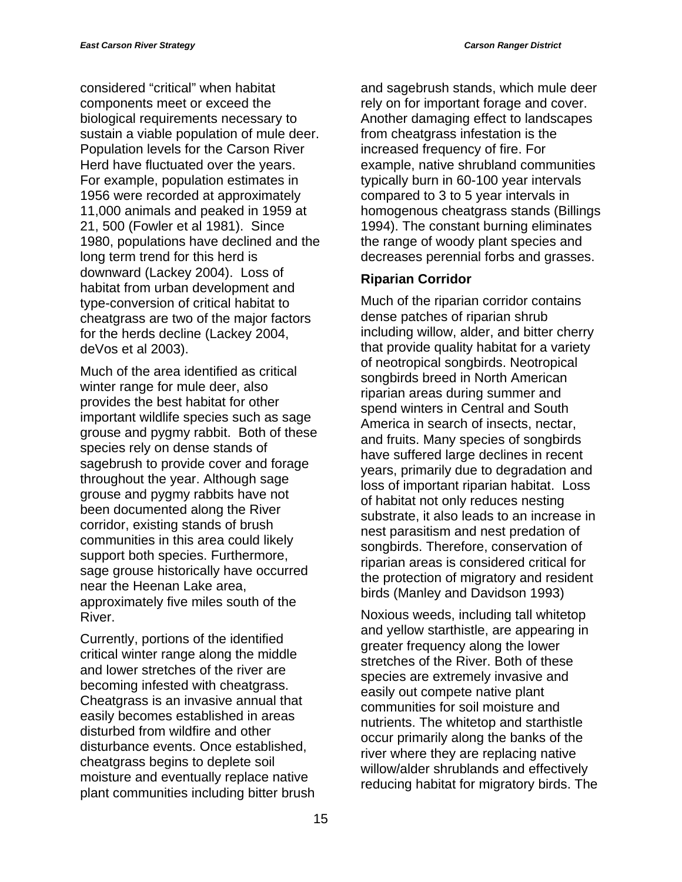considered "critical" when habitat components meet or exceed the biological requirements necessary to sustain a viable population of mule deer. Population levels for the Carson River Herd have fluctuated over the years. For example, population estimates in 1956 were recorded at approximately 11,000 animals and peaked in 1959 at 21, 500 (Fowler et al 1981). Since 1980, populations have declined and the long term trend for this herd is downward (Lackey 2004). Loss of habitat from urban development and type-conversion of critical habitat to cheatgrass are two of the major factors for the herds decline (Lackey 2004, deVos et al 2003).

Much of the area identified as critical winter range for mule deer, also provides the best habitat for other important wildlife species such as sage grouse and pygmy rabbit. Both of these species rely on dense stands of sagebrush to provide cover and forage throughout the year. Although sage grouse and pygmy rabbits have not been documented along the River corridor, existing stands of brush communities in this area could likely support both species. Furthermore, sage grouse historically have occurred near the Heenan Lake area, approximately five miles south of the River.

Currently, portions of the identified critical winter range along the middle and lower stretches of the river are becoming infested with cheatgrass. Cheatgrass is an invasive annual that easily becomes established in areas disturbed from wildfire and other disturbance events. Once established, cheatgrass begins to deplete soil moisture and eventually replace native plant communities including bitter brush and sagebrush stands, which mule deer rely on for important forage and cover. Another damaging effect to landscapes from cheatgrass infestation is the increased frequency of fire. For example, native shrubland communities typically burn in 60-100 year intervals compared to 3 to 5 year intervals in homogenous cheatgrass stands (Billings 1994). The constant burning eliminates the range of woody plant species and decreases perennial forbs and grasses.

#### **Riparian Corridor**

Much of the riparian corridor contains dense patches of riparian shrub including willow, alder, and bitter cherry that provide quality habitat for a variety of neotropical songbirds. Neotropical songbirds breed in North American riparian areas during summer and spend winters in Central and South America in search of insects, nectar, and fruits. Many species of songbirds have suffered large declines in recent years, primarily due to degradation and loss of important riparian habitat. Loss of habitat not only reduces nesting substrate, it also leads to an increase in nest parasitism and nest predation of songbirds. Therefore, conservation of riparian areas is considered critical for the protection of migratory and resident birds (Manley and Davidson 1993)

Noxious weeds, including tall whitetop and yellow starthistle, are appearing in greater frequency along the lower stretches of the River. Both of these species are extremely invasive and easily out compete native plant communities for soil moisture and nutrients. The whitetop and starthistle occur primarily along the banks of the river where they are replacing native willow/alder shrublands and effectively reducing habitat for migratory birds. The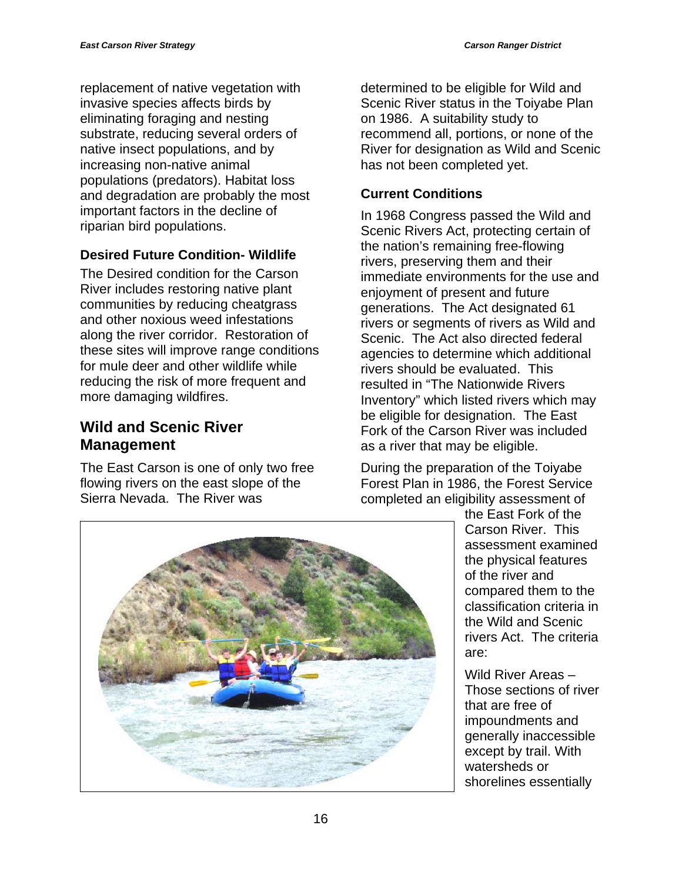replacement of native vegetation with invasive species affects birds by eliminating foraging and nesting substrate, reducing several orders of native insect populations, and by increasing non-native animal populations (predators). Habitat loss and degradation are probably the most important factors in the decline of riparian bird populations.

## **Desired Future Condition- Wildlife**

The Desired condition for the Carson River includes restoring native plant communities by reducing cheatgrass and other noxious weed infestations along the river corridor. Restoration of these sites will improve range conditions for mule deer and other wildlife while reducing the risk of more frequent and more damaging wildfires.

## **Wild and Scenic River Management**

The East Carson is one of only two free flowing rivers on the east slope of the Sierra Nevada. The River was

determined to be eligible for Wild and Scenic River status in the Toiyabe Plan on 1986. A suitability study to recommend all, portions, or none of the River for designation as Wild and Scenic has not been completed yet.

## **Current Conditions**

In 1968 Congress passed the Wild and Scenic Rivers Act, protecting certain of the nation's remaining free-flowing rivers, preserving them and their immediate environments for the use and enjoyment of present and future generations. The Act designated 61 rivers or segments of rivers as Wild and Scenic. The Act also directed federal agencies to determine which additional rivers should be evaluated. This resulted in "The Nationwide Rivers Inventory" which listed rivers which may be eligible for designation. The East Fork of the Carson River was included as a river that may be eligible.

During the preparation of the Toiyabe Forest Plan in 1986, the Forest Service completed an eligibility assessment of



the East Fork of the Carson River. This assessment examined the physical features of the river and compared them to the classification criteria in the Wild and Scenic rivers Act. The criteria are:

Wild River Areas – Those sections of river that are free of impoundments and generally inaccessible except by trail. With watersheds or shorelines essentially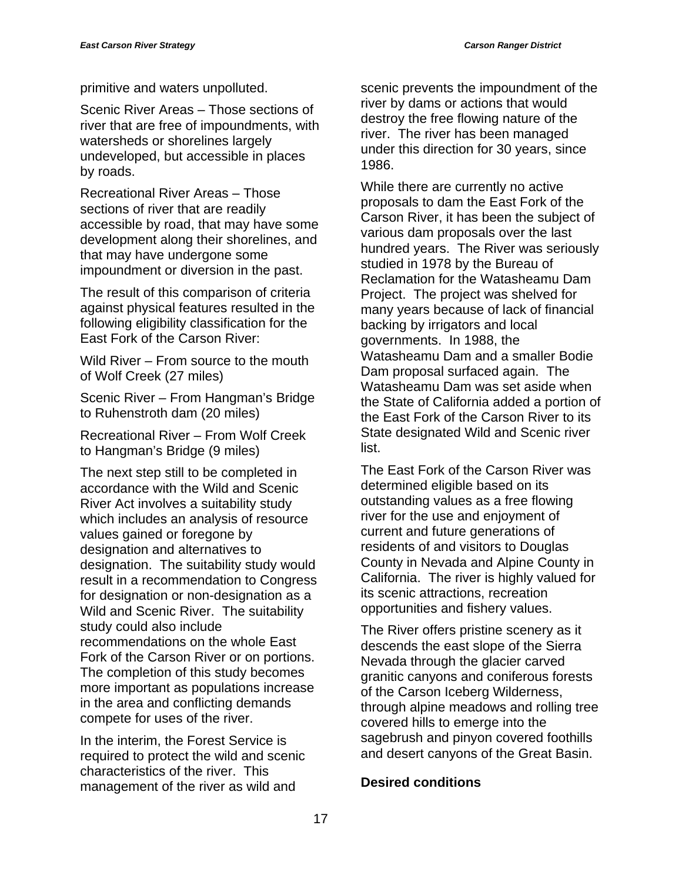primitive and waters unpolluted.

Scenic River Areas – Those sections of river that are free of impoundments, with watersheds or shorelines largely undeveloped, but accessible in places by roads.

Recreational River Areas – Those sections of river that are readily accessible by road, that may have some development along their shorelines, and that may have undergone some impoundment or diversion in the past.

The result of this comparison of criteria against physical features resulted in the following eligibility classification for the East Fork of the Carson River:

Wild River – From source to the mouth of Wolf Creek (27 miles)

Scenic River – From Hangman's Bridge to Ruhenstroth dam (20 miles)

Recreational River – From Wolf Creek to Hangman's Bridge (9 miles)

The next step still to be completed in accordance with the Wild and Scenic River Act involves a suitability study which includes an analysis of resource values gained or foregone by designation and alternatives to designation. The suitability study would result in a recommendation to Congress for designation or non-designation as a Wild and Scenic River. The suitability study could also include recommendations on the whole East Fork of the Carson River or on portions. The completion of this study becomes more important as populations increase in the area and conflicting demands compete for uses of the river.

In the interim, the Forest Service is required to protect the wild and scenic characteristics of the river. This management of the river as wild and

scenic prevents the impoundment of the river by dams or actions that would destroy the free flowing nature of the river. The river has been managed under this direction for 30 years, since 1986.

While there are currently no active proposals to dam the East Fork of the Carson River, it has been the subject of various dam proposals over the last hundred years. The River was seriously studied in 1978 by the Bureau of Reclamation for the Watasheamu Dam Project. The project was shelved for many years because of lack of financial backing by irrigators and local governments. In 1988, the Watasheamu Dam and a smaller Bodie Dam proposal surfaced again. The Watasheamu Dam was set aside when the State of California added a portion of the East Fork of the Carson River to its State designated Wild and Scenic river list.

The East Fork of the Carson River was determined eligible based on its outstanding values as a free flowing river for the use and enjoyment of current and future generations of residents of and visitors to Douglas County in Nevada and Alpine County in California. The river is highly valued for its scenic attractions, recreation opportunities and fishery values.

The River offers pristine scenery as it descends the east slope of the Sierra Nevada through the glacier carved granitic canyons and coniferous forests of the Carson Iceberg Wilderness, through alpine meadows and rolling tree covered hills to emerge into the sagebrush and pinyon covered foothills and desert canyons of the Great Basin.

#### **Desired conditions**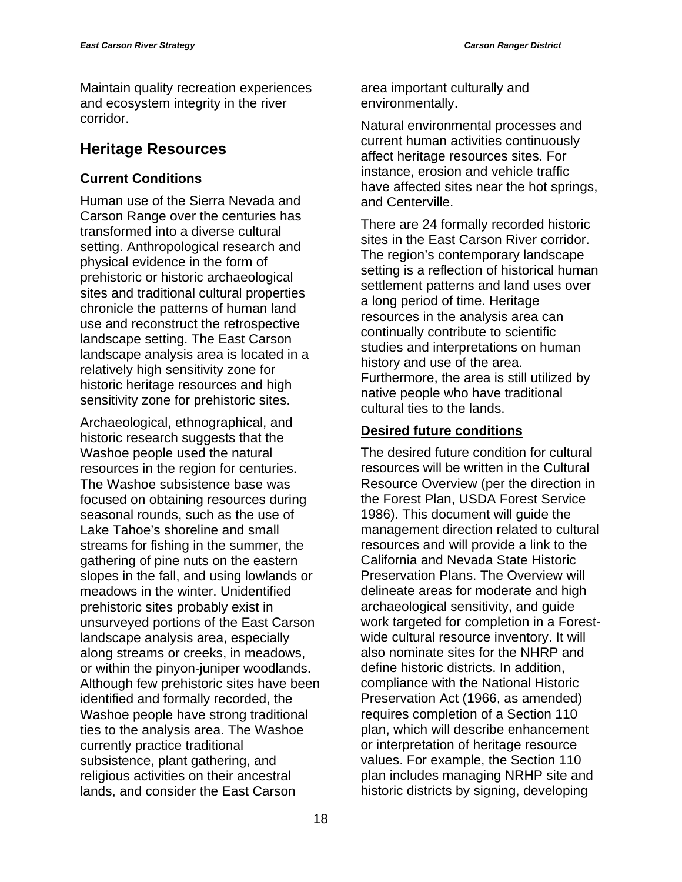Maintain quality recreation experiences and ecosystem integrity in the river corridor.

## **Heritage Resources**

## **Current Conditions**

Human use of the Sierra Nevada and Carson Range over the centuries has transformed into a diverse cultural setting. Anthropological research and physical evidence in the form of prehistoric or historic archaeological sites and traditional cultural properties chronicle the patterns of human land use and reconstruct the retrospective landscape setting. The East Carson landscape analysis area is located in a relatively high sensitivity zone for historic heritage resources and high sensitivity zone for prehistoric sites.

Archaeological, ethnographical, and historic research suggests that the Washoe people used the natural resources in the region for centuries. The Washoe subsistence base was focused on obtaining resources during seasonal rounds, such as the use of Lake Tahoe's shoreline and small streams for fishing in the summer, the gathering of pine nuts on the eastern slopes in the fall, and using lowlands or meadows in the winter. Unidentified prehistoric sites probably exist in unsurveyed portions of the East Carson landscape analysis area, especially along streams or creeks, in meadows, or within the pinyon-juniper woodlands. Although few prehistoric sites have been identified and formally recorded, the Washoe people have strong traditional ties to the analysis area. The Washoe currently practice traditional subsistence, plant gathering, and religious activities on their ancestral lands, and consider the East Carson

area important culturally and environmentally.

Natural environmental processes and current human activities continuously affect heritage resources sites. For instance, erosion and vehicle traffic have affected sites near the hot springs, and Centerville.

There are 24 formally recorded historic sites in the East Carson River corridor. The region's contemporary landscape setting is a reflection of historical human settlement patterns and land uses over a long period of time. Heritage resources in the analysis area can continually contribute to scientific studies and interpretations on human history and use of the area. Furthermore, the area is still utilized by native people who have traditional cultural ties to the lands.

## **Desired future conditions**

The desired future condition for cultural resources will be written in the Cultural Resource Overview (per the direction in the Forest Plan, USDA Forest Service 1986). This document will guide the management direction related to cultural resources and will provide a link to the California and Nevada State Historic Preservation Plans. The Overview will delineate areas for moderate and high archaeological sensitivity, and guide work targeted for completion in a Forestwide cultural resource inventory. It will also nominate sites for the NHRP and define historic districts. In addition, compliance with the National Historic Preservation Act (1966, as amended) requires completion of a Section 110 plan, which will describe enhancement or interpretation of heritage resource values. For example, the Section 110 plan includes managing NRHP site and historic districts by signing, developing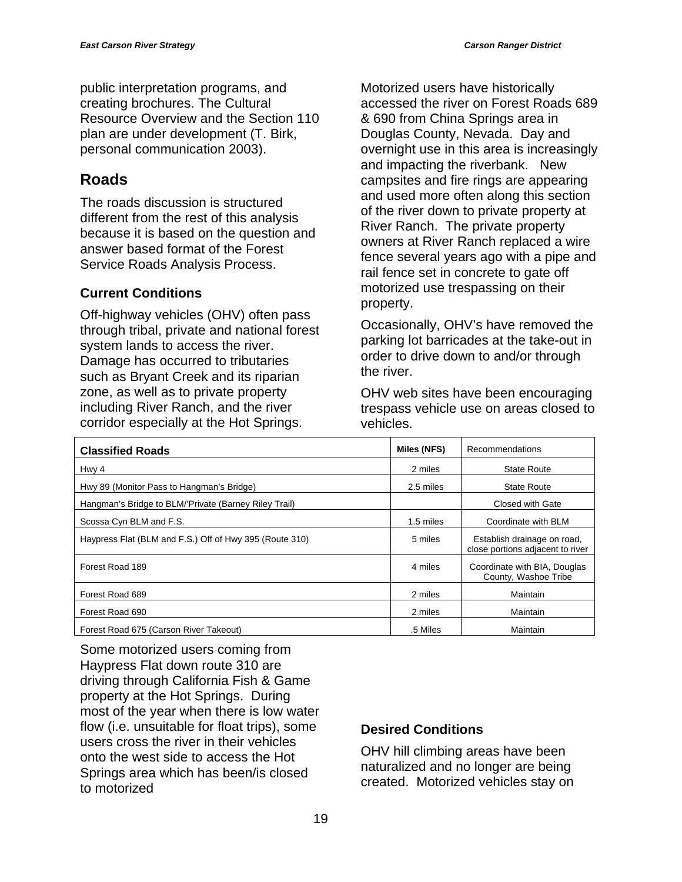public interpretation programs, and creating brochures. The Cultural Resource Overview and the Section 110 plan are under development (T. Birk, personal communication 2003).

## **Roads**

The roads discussion is structured different from the rest of this analysis because it is based on the question and answer based format of the Forest Service Roads Analysis Process.

## **Current Conditions**

Off-highway vehicles (OHV) often pass through tribal, private and national forest system lands to access the river. Damage has occurred to tributaries such as Bryant Creek and its riparian zone, as well as to private property including River Ranch, and the river corridor especially at the Hot Springs.

Motorized users have historically accessed the river on Forest Roads 689 & 690 from China Springs area in Douglas County, Nevada. Day and overnight use in this area is increasingly and impacting the riverbank. New campsites and fire rings are appearing and used more often along this section of the river down to private property at River Ranch. The private property owners at River Ranch replaced a wire fence several years ago with a pipe and rail fence set in concrete to gate off motorized use trespassing on their property.

Occasionally, OHV's have removed the parking lot barricades at the take-out in order to drive down to and/or through the river.

OHV web sites have been encouraging trespass vehicle use on areas closed to vehicles.

| <b>Classified Roads</b>                                 | Miles (NFS) | Recommendations                                                 |
|---------------------------------------------------------|-------------|-----------------------------------------------------------------|
| Hwy 4                                                   | 2 miles     | <b>State Route</b>                                              |
| Hwy 89 (Monitor Pass to Hangman's Bridge)               | 2.5 miles   | <b>State Route</b>                                              |
| Hangman's Bridge to BLM/'Private (Barney Riley Trail)   |             | Closed with Gate                                                |
| Scossa Cyn BLM and F.S.                                 | 1.5 miles   | Coordinate with BLM                                             |
| Haypress Flat (BLM and F.S.) Off of Hwy 395 (Route 310) | 5 miles     | Establish drainage on road,<br>close portions adjacent to river |
| Forest Road 189                                         | 4 miles     | Coordinate with BIA, Douglas<br>County, Washoe Tribe            |
| Forest Road 689                                         | 2 miles     | Maintain                                                        |
| Forest Road 690                                         | 2 miles     | Maintain                                                        |
| Forest Road 675 (Carson River Takeout)                  | .5 Miles    | Maintain                                                        |

Some motorized users coming from Haypress Flat down route 310 are driving through California Fish & Game property at the Hot Springs. During most of the year when there is low water flow (i.e. unsuitable for float trips), some users cross the river in their vehicles onto the west side to access the Hot Springs area which has been/is closed to motorized

## **Desired Conditions**

OHV hill climbing areas have been naturalized and no longer are being created. Motorized vehicles stay on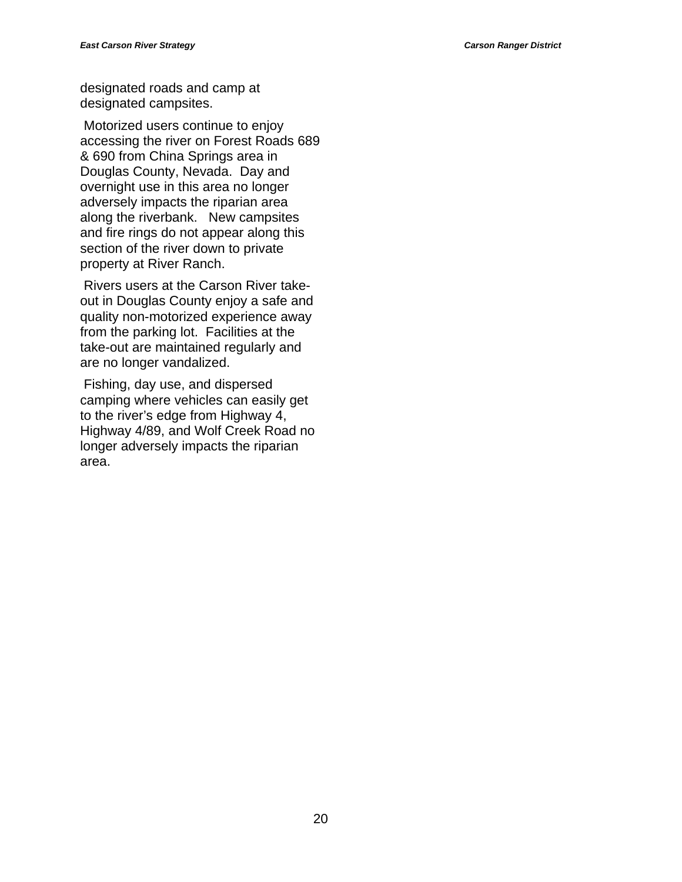designated roads and camp at designated campsites.

 Motorized users continue to enjoy accessing the river on Forest Roads 689 & 690 from China Springs area in Douglas County, Nevada. Day and overnight use in this area no longer adversely impacts the riparian area along the riverbank. New campsites and fire rings do not appear along this section of the river down to private property at River Ranch.

 Rivers users at the Carson River takeout in Douglas County enjoy a safe and quality non-motorized experience away from the parking lot. Facilities at the take-out are maintained regularly and are no longer vandalized.

 Fishing, day use, and dispersed camping where vehicles can easily get to the river's edge from Highway 4, Highway 4/89, and Wolf Creek Road no longer adversely impacts the riparian area.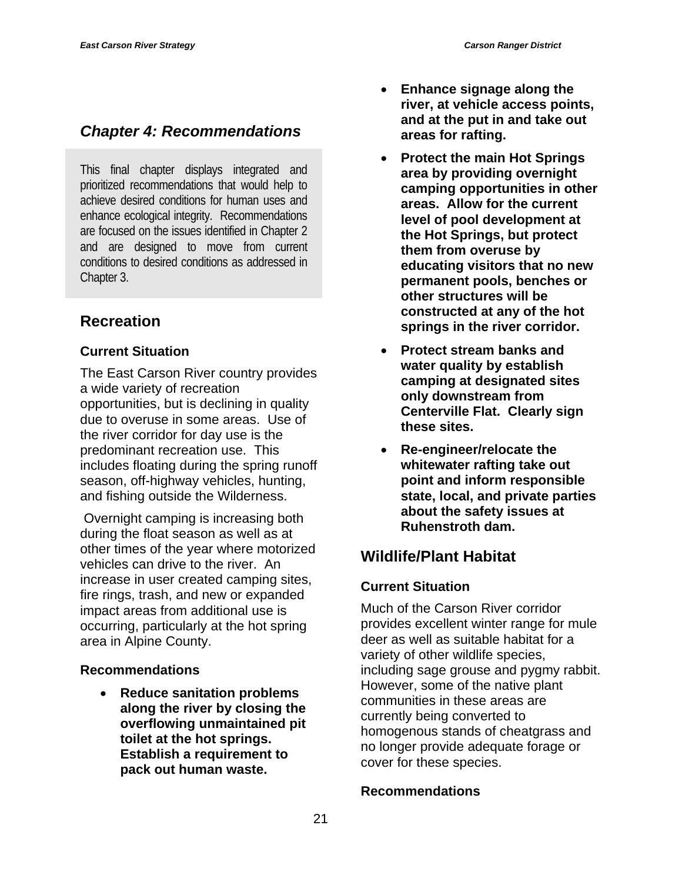This final chapter displays integrated and prioritized recommendations that would help to achieve desired conditions for human uses and enhance ecological integrity. Recommendations are focused on the issues identified in Chapter 2 and are designed to move from current conditions to desired conditions as addressed in Chapter 3.

## **Recreation**

#### **Current Situation**

The East Carson River country provides a wide variety of recreation opportunities, but is declining in quality due to overuse in some areas. Use of the river corridor for day use is the predominant recreation use. This includes floating during the spring runoff season, off-highway vehicles, hunting, and fishing outside the Wilderness.

 Overnight camping is increasing both during the float season as well as at other times of the year where motorized vehicles can drive to the river. An increase in user created camping sites, fire rings, trash, and new or expanded impact areas from additional use is occurring, particularly at the hot spring area in Alpine County.

## **Recommendations**

• **Reduce sanitation problems along the river by closing the overflowing unmaintained pit toilet at the hot springs. Establish a requirement to pack out human waste.** 

- **Enhance signage along the river, at vehicle access points, and at the put in and take out areas for rafting.**
- **Protect the main Hot Springs area by providing overnight camping opportunities in other areas. Allow for the current level of pool development at the Hot Springs, but protect them from overuse by educating visitors that no new permanent pools, benches or other structures will be constructed at any of the hot springs in the river corridor.**
- **Protect stream banks and water quality by establish camping at designated sites only downstream from Centerville Flat. Clearly sign these sites.**
- **Re-engineer/relocate the whitewater rafting take out point and inform responsible state, local, and private parties about the safety issues at Ruhenstroth dam.**

## **Wildlife/Plant Habitat**

## **Current Situation**

Much of the Carson River corridor provides excellent winter range for mule deer as well as suitable habitat for a variety of other wildlife species, including sage grouse and pygmy rabbit. However, some of the native plant communities in these areas are currently being converted to homogenous stands of cheatgrass and no longer provide adequate forage or cover for these species.

#### **Recommendations**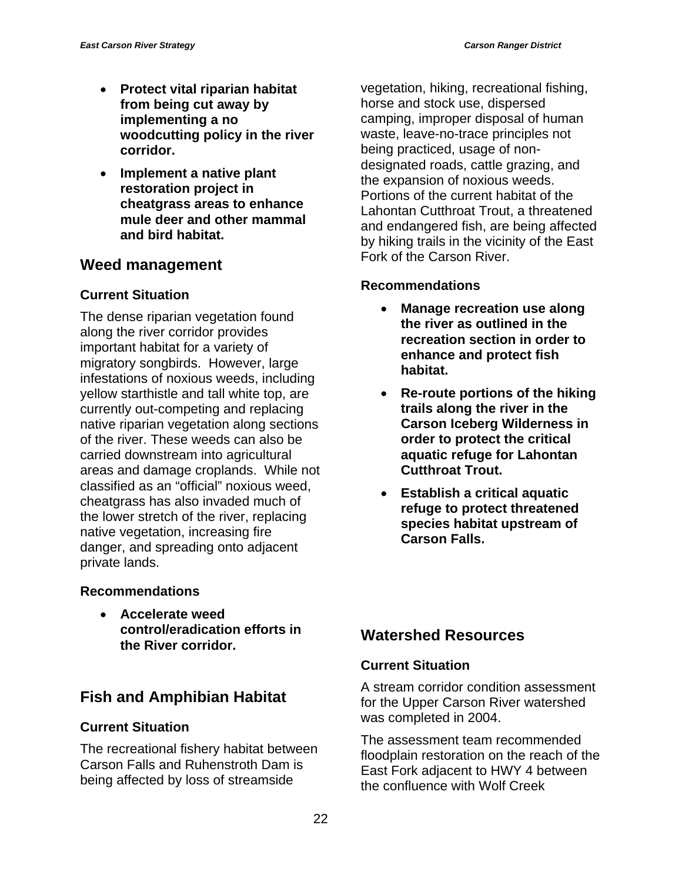- **Protect vital riparian habitat from being cut away by implementing a no woodcutting policy in the river corridor.**
- **Implement a native plant restoration project in cheatgrass areas to enhance mule deer and other mammal and bird habitat.**

## **Weed management**

#### **Current Situation**

The dense riparian vegetation found along the river corridor provides important habitat for a variety of migratory songbirds. However, large infestations of noxious weeds, including yellow starthistle and tall white top, are currently out-competing and replacing native riparian vegetation along sections of the river. These weeds can also be carried downstream into agricultural areas and damage croplands. While not classified as an "official" noxious weed, cheatgrass has also invaded much of the lower stretch of the river, replacing native vegetation, increasing fire danger, and spreading onto adjacent private lands.

#### **Recommendations**

• **Accelerate weed control/eradication efforts in the River corridor.** 

## **Fish and Amphibian Habitat**

#### **Current Situation**

The recreational fishery habitat between Carson Falls and Ruhenstroth Dam is being affected by loss of streamside

vegetation, hiking, recreational fishing, horse and stock use, dispersed camping, improper disposal of human waste, leave-no-trace principles not being practiced, usage of nondesignated roads, cattle grazing, and the expansion of noxious weeds. Portions of the current habitat of the Lahontan Cutthroat Trout, a threatened and endangered fish, are being affected by hiking trails in the vicinity of the East Fork of the Carson River.

#### **Recommendations**

- **Manage recreation use along the river as outlined in the recreation section in order to enhance and protect fish habitat.**
- **Re-route portions of the hiking trails along the river in the Carson Iceberg Wilderness in order to protect the critical aquatic refuge for Lahontan Cutthroat Trout.**
- **Establish a critical aquatic refuge to protect threatened species habitat upstream of Carson Falls.**

## **Watershed Resources**

#### **Current Situation**

A stream corridor condition assessment for the Upper Carson River watershed was completed in 2004.

The assessment team recommended floodplain restoration on the reach of the East Fork adjacent to HWY 4 between the confluence with Wolf Creek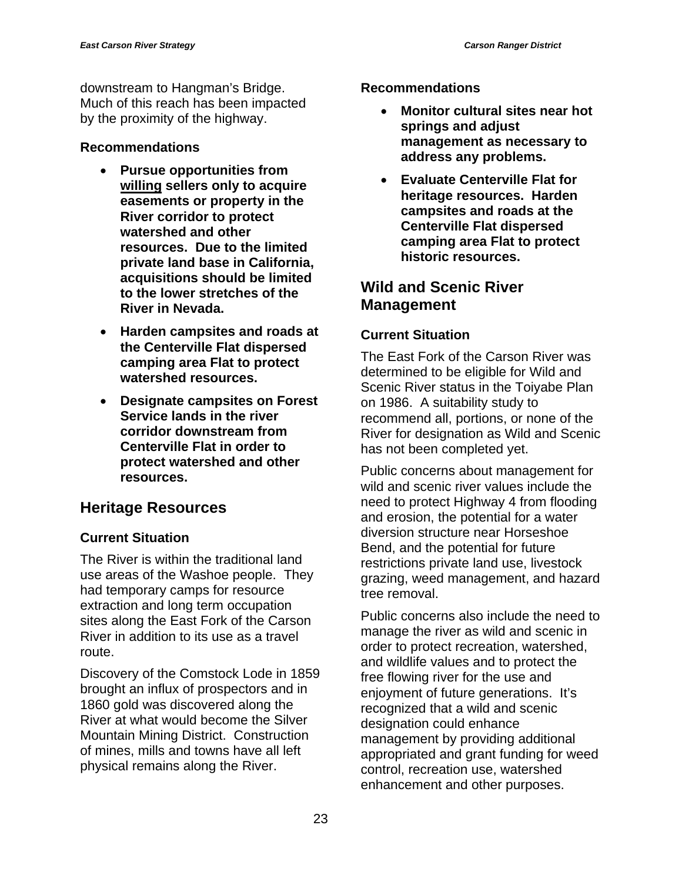downstream to Hangman's Bridge. Much of this reach has been impacted by the proximity of the highway.

#### **Recommendations**

- **Pursue opportunities from willing sellers only to acquire easements or property in the River corridor to protect watershed and other resources. Due to the limited private land base in California, acquisitions should be limited to the lower stretches of the River in Nevada.**
- **Harden campsites and roads at the Centerville Flat dispersed camping area Flat to protect watershed resources.**
- **Designate campsites on Forest Service lands in the river corridor downstream from Centerville Flat in order to protect watershed and other resources.**

## **Heritage Resources**

## **Current Situation**

The River is within the traditional land use areas of the Washoe people. They had temporary camps for resource extraction and long term occupation sites along the East Fork of the Carson River in addition to its use as a travel route.

Discovery of the Comstock Lode in 1859 brought an influx of prospectors and in 1860 gold was discovered along the River at what would become the Silver Mountain Mining District. Construction of mines, mills and towns have all left physical remains along the River.

#### **Recommendations**

- **Monitor cultural sites near hot springs and adjust management as necessary to address any problems.**
- **Evaluate Centerville Flat for heritage resources. Harden campsites and roads at the Centerville Flat dispersed camping area Flat to protect historic resources.**

## **Wild and Scenic River Management**

## **Current Situation**

The East Fork of the Carson River was determined to be eligible for Wild and Scenic River status in the Toiyabe Plan on 1986. A suitability study to recommend all, portions, or none of the River for designation as Wild and Scenic has not been completed yet.

Public concerns about management for wild and scenic river values include the need to protect Highway 4 from flooding and erosion, the potential for a water diversion structure near Horseshoe Bend, and the potential for future restrictions private land use, livestock grazing, weed management, and hazard tree removal.

Public concerns also include the need to manage the river as wild and scenic in order to protect recreation, watershed, and wildlife values and to protect the free flowing river for the use and enjoyment of future generations. It's recognized that a wild and scenic designation could enhance management by providing additional appropriated and grant funding for weed control, recreation use, watershed enhancement and other purposes.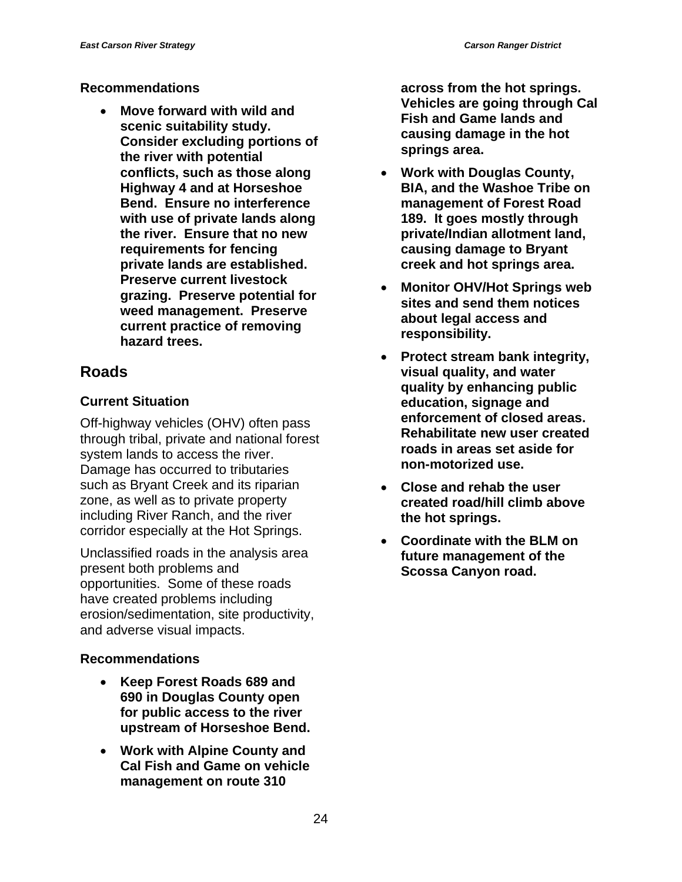#### **Recommendations**

• **Move forward with wild and scenic suitability study. Consider excluding portions of the river with potential conflicts, such as those along Highway 4 and at Horseshoe Bend. Ensure no interference with use of private lands along the river. Ensure that no new requirements for fencing private lands are established. Preserve current livestock grazing. Preserve potential for weed management. Preserve current practice of removing hazard trees.** 

## **Roads**

#### **Current Situation**

Off-highway vehicles (OHV) often pass through tribal, private and national forest system lands to access the river. Damage has occurred to tributaries such as Bryant Creek and its riparian zone, as well as to private property including River Ranch, and the river corridor especially at the Hot Springs.

Unclassified roads in the analysis area present both problems and opportunities. Some of these roads have created problems including erosion/sedimentation, site productivity, and adverse visual impacts.

#### **Recommendations**

- **Keep Forest Roads 689 and 690 in Douglas County open for public access to the river upstream of Horseshoe Bend.**
- **Work with Alpine County and Cal Fish and Game on vehicle management on route 310**

**across from the hot springs. Vehicles are going through Cal Fish and Game lands and causing damage in the hot springs area.** 

- **Work with Douglas County, BIA, and the Washoe Tribe on management of Forest Road 189. It goes mostly through private/Indian allotment land, causing damage to Bryant creek and hot springs area.**
- **Monitor OHV/Hot Springs web sites and send them notices about legal access and responsibility.**
- **Protect stream bank integrity, visual quality, and water quality by enhancing public education, signage and enforcement of closed areas. Rehabilitate new user created roads in areas set aside for non-motorized use.**
- **Close and rehab the user created road/hill climb above the hot springs.**
- **Coordinate with the BLM on future management of the Scossa Canyon road.**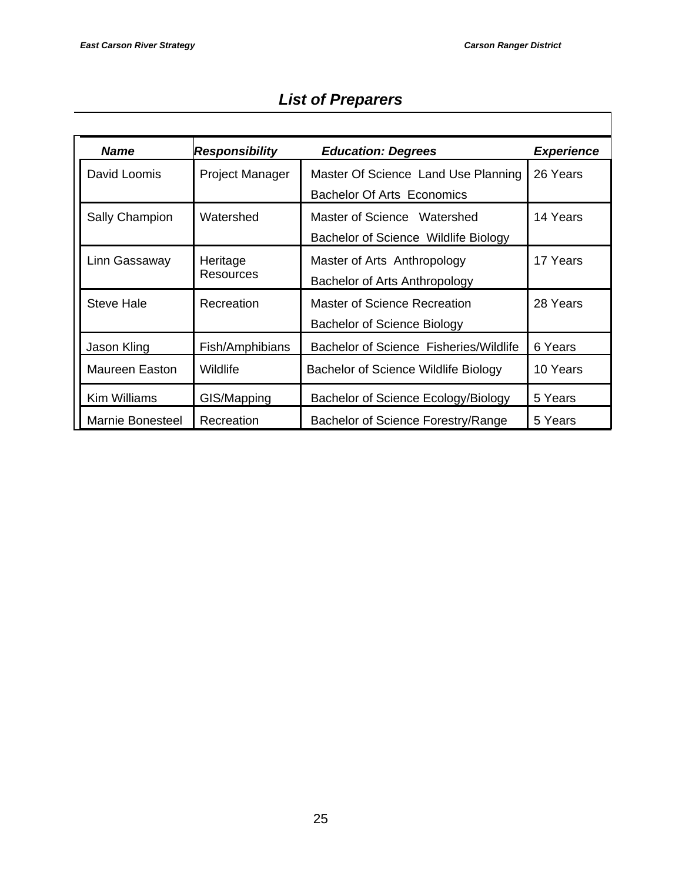| <b>Name</b>             | Responsibility               | <b>Education: Degrees</b>                                                | <b>Experience</b> |
|-------------------------|------------------------------|--------------------------------------------------------------------------|-------------------|
| David Loomis            | <b>Project Manager</b>       | Master Of Science Land Use Planning<br><b>Bachelor Of Arts Economics</b> | 26 Years          |
| Sally Champion          | Watershed                    | Master of Science Watershed<br>Bachelor of Science Wildlife Biology      | 14 Years          |
| Linn Gassaway           | Heritage<br><b>Resources</b> | Master of Arts Anthropology<br>Bachelor of Arts Anthropology             | 17 Years          |
| <b>Steve Hale</b>       | Recreation                   | Master of Science Recreation<br>Bachelor of Science Biology              | 28 Years          |
| Jason Kling             | Fish/Amphibians              | <b>Bachelor of Science Fisheries/Wildlife</b>                            | 6 Years           |
| <b>Maureen Easton</b>   | Wildlife                     | Bachelor of Science Wildlife Biology                                     | 10 Years          |
| Kim Williams            | GIS/Mapping                  | Bachelor of Science Ecology/Biology                                      | 5 Years           |
| <b>Marnie Bonesteel</b> | Recreation                   | Bachelor of Science Forestry/Range                                       | 5 Years           |

## *List of Preparers*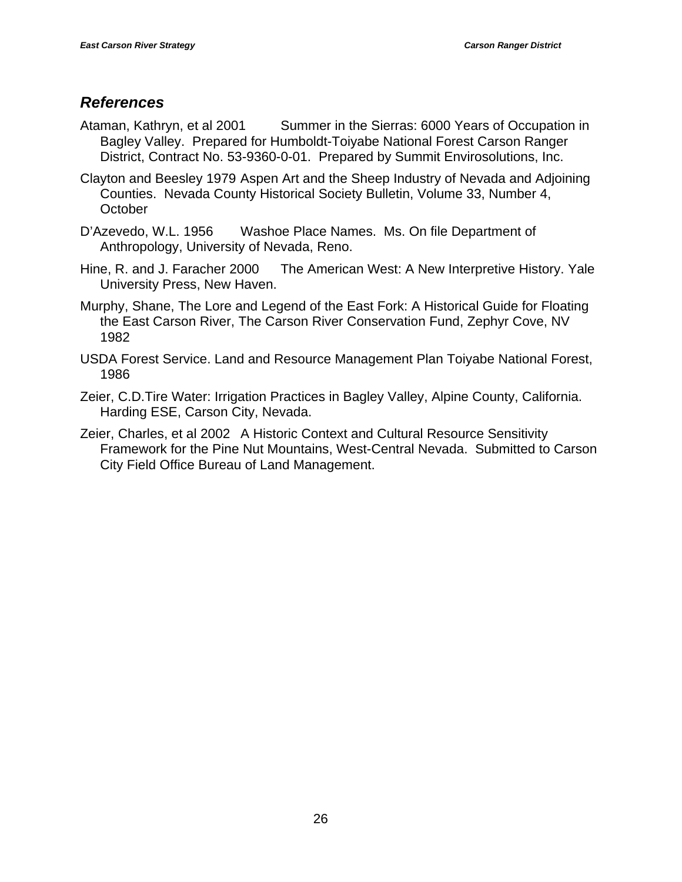## *References*

- Ataman, Kathryn, et al 2001 Summer in the Sierras: 6000 Years of Occupation in Bagley Valley. Prepared for Humboldt-Toiyabe National Forest Carson Ranger District, Contract No. 53-9360-0-01. Prepared by Summit Envirosolutions, Inc.
- Clayton and Beesley 1979 Aspen Art and the Sheep Industry of Nevada and Adjoining Counties. Nevada County Historical Society Bulletin, Volume 33, Number 4, **October**
- D'Azevedo, W.L. 1956 Washoe Place Names. Ms. On file Department of Anthropology, University of Nevada, Reno.
- Hine, R. and J. Faracher 2000 The American West: A New Interpretive History. Yale University Press, New Haven.
- Murphy, Shane, The Lore and Legend of the East Fork: A Historical Guide for Floating the East Carson River, The Carson River Conservation Fund, Zephyr Cove, NV 1982
- USDA Forest Service. Land and Resource Management Plan Toiyabe National Forest, 1986
- Zeier, C.D.Tire Water: Irrigation Practices in Bagley Valley, Alpine County, California. Harding ESE, Carson City, Nevada.
- Zeier, Charles, et al 2002 A Historic Context and Cultural Resource Sensitivity Framework for the Pine Nut Mountains, West-Central Nevada. Submitted to Carson City Field Office Bureau of Land Management.